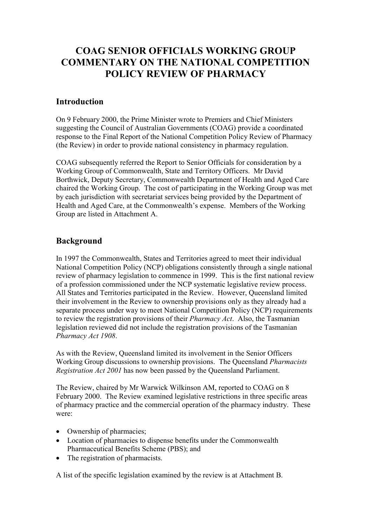# **COAG SENIOR OFFICIALS WORKING GROUP COMMENTARY ON THE NATIONAL COMPETITION POLICY REVIEW OF PHARMACY**

## **Introduction**

On 9 February 2000, the Prime Minister wrote to Premiers and Chief Ministers suggesting the Council of Australian Governments (COAG) provide a coordinated response to the Final Report of the National Competition Policy Review of Pharmacy (the Review) in order to provide national consistency in pharmacy regulation.

COAG subsequently referred the Report to Senior Officials for consideration by a Working Group of Commonwealth, State and Territory Officers. Mr David Borthwick, Deputy Secretary, Commonwealth Department of Health and Aged Care chaired the Working Group. The cost of participating in the Working Group was met by each jurisdiction with secretariat services being provided by the Department of Health and Aged Care, at the Commonwealth's expense. Members of the Working Group are listed in Attachment A.

# **Background**

In 1997 the Commonwealth, States and Territories agreed to meet their individual National Competition Policy (NCP) obligations consistently through a single national review of pharmacy legislation to commence in 1999. This is the first national review of a profession commissioned under the NCP systematic legislative review process. All States and Territories participated in the Review. However, Queensland limited their involvement in the Review to ownership provisions only as they already had a separate process under way to meet National Competition Policy (NCP) requirements to review the registration provisions of their *Pharmacy Act*. Also, the Tasmanian legislation reviewed did not include the registration provisions of the Tasmanian *Pharmacy Act 1908*.

As with the Review, Queensland limited its involvement in the Senior Officers Working Group discussions to ownership provisions. The Queensland *Pharmacists Registration Act 2001* has now been passed by the Queensland Parliament.

The Review, chaired by Mr Warwick Wilkinson AM, reported to COAG on 8 February 2000. The Review examined legislative restrictions in three specific areas of pharmacy practice and the commercial operation of the pharmacy industry. These were:

- Ownership of pharmacies;
- Location of pharmacies to dispense benefits under the Commonwealth Pharmaceutical Benefits Scheme (PBS); and
- The registration of pharmacists.

A list of the specific legislation examined by the review is at Attachment B.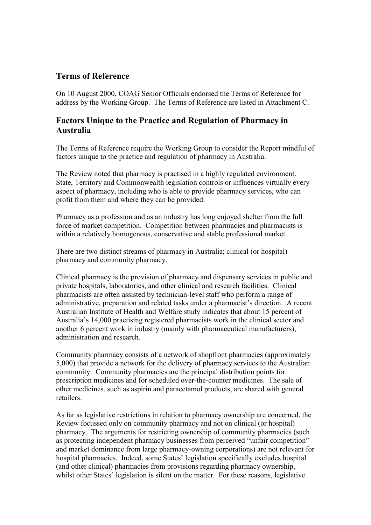# **Terms of Reference**

On 10 August 2000, COAG Senior Officials endorsed the Terms of Reference for address by the Working Group. The Terms of Reference are listed in Attachment C.

# **Factors Unique to the Practice and Regulation of Pharmacy in Australia**

The Terms of Reference require the Working Group to consider the Report mindful of factors unique to the practice and regulation of pharmacy in Australia.

The Review noted that pharmacy is practised in a highly regulated environment. State, Territory and Commonwealth legislation controls or influences virtually every aspect of pharmacy, including who is able to provide pharmacy services, who can profit from them and where they can be provided.

Pharmacy as a profession and as an industry has long enjoyed shelter from the full force of market competition. Competition between pharmacies and pharmacists is within a relatively homogenous, conservative and stable professional market.

There are two distinct streams of pharmacy in Australia; clinical (or hospital) pharmacy and community pharmacy.

Clinical pharmacy is the provision of pharmacy and dispensary services in public and private hospitals, laboratories, and other clinical and research facilities. Clinical pharmacists are often assisted by technician-level staff who perform a range of administrative, preparation and related tasks under a pharmacist's direction. A recent Australian Institute of Health and Welfare study indicates that about 15 percent of Australia's 14,000 practising registered pharmacists work in the clinical sector and another 6 percent work in industry (mainly with pharmaceutical manufacturers), administration and research.

Community pharmacy consists of a network of shopfront pharmacies (approximately 5,000) that provide a network for the delivery of pharmacy services to the Australian community. Community pharmacies are the principal distribution points for prescription medicines and for scheduled over-the-counter medicines. The sale of other medicines, such as aspirin and paracetamol products, are shared with general retailers.

As far as legislative restrictions in relation to pharmacy ownership are concerned, the Review focussed only on community pharmacy and not on clinical (or hospital) pharmacy. The arguments for restricting ownership of community pharmacies (such as protecting independent pharmacy businesses from perceived "unfair competition" and market dominance from large pharmacy-owning corporations) are not relevant for hospital pharmacies. Indeed, some States' legislation specifically excludes hospital (and other clinical) pharmacies from provisions regarding pharmacy ownership, whilst other States' legislation is silent on the matter. For these reasons, legislative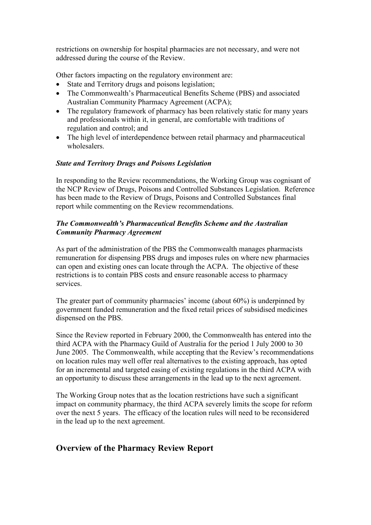restrictions on ownership for hospital pharmacies are not necessary, and were not addressed during the course of the Review.

Other factors impacting on the regulatory environment are:

- State and Territory drugs and poisons legislation;
- The Commonwealth's Pharmaceutical Benefits Scheme (PBS) and associated Australian Community Pharmacy Agreement (ACPA);
- The regulatory framework of pharmacy has been relatively static for many years and professionals within it, in general, are comfortable with traditions of regulation and control; and
- The high level of interdependence between retail pharmacy and pharmaceutical wholesalers.

#### *State and Territory Drugs and Poisons Legislation*

In responding to the Review recommendations, the Working Group was cognisant of the NCP Review of Drugs, Poisons and Controlled Substances Legislation. Reference has been made to the Review of Drugs, Poisons and Controlled Substances final report while commenting on the Review recommendations.

#### *The Commonwealth's Pharmaceutical Benefits Scheme and the Australian Community Pharmacy Agreement*

As part of the administration of the PBS the Commonwealth manages pharmacists remuneration for dispensing PBS drugs and imposes rules on where new pharmacies can open and existing ones can locate through the ACPA. The objective of these restrictions is to contain PBS costs and ensure reasonable access to pharmacy services.

The greater part of community pharmacies' income (about 60%) is underpinned by government funded remuneration and the fixed retail prices of subsidised medicines dispensed on the PBS.

Since the Review reported in February 2000, the Commonwealth has entered into the third ACPA with the Pharmacy Guild of Australia for the period 1 July 2000 to 30 June 2005. The Commonwealth, while accepting that the Review's recommendations on location rules may well offer real alternatives to the existing approach, has opted for an incremental and targeted easing of existing regulations in the third ACPA with an opportunity to discuss these arrangements in the lead up to the next agreement.

The Working Group notes that as the location restrictions have such a significant impact on community pharmacy, the third ACPA severely limits the scope for reform over the next 5 years. The efficacy of the location rules will need to be reconsidered in the lead up to the next agreement.

# **Overview of the Pharmacy Review Report**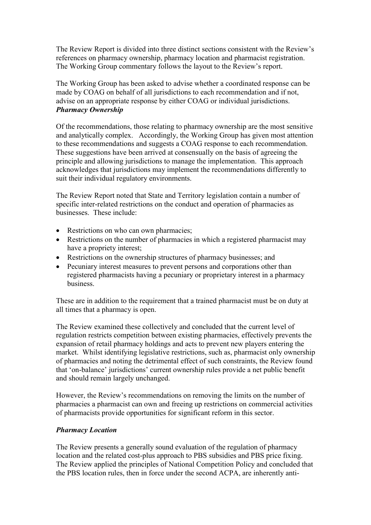The Review Report is divided into three distinct sections consistent with the Review's references on pharmacy ownership, pharmacy location and pharmacist registration. The Working Group commentary follows the layout to the Review's report.

The Working Group has been asked to advise whether a coordinated response can be made by COAG on behalf of all jurisdictions to each recommendation and if not, advise on an appropriate response by either COAG or individual jurisdictions. *Pharmacy Ownership*

Of the recommendations, those relating to pharmacy ownership are the most sensitive and analytically complex. Accordingly, the Working Group has given most attention to these recommendations and suggests a COAG response to each recommendation. These suggestions have been arrived at consensually on the basis of agreeing the principle and allowing jurisdictions to manage the implementation. This approach acknowledges that jurisdictions may implement the recommendations differently to suit their individual regulatory environments.

The Review Report noted that State and Territory legislation contain a number of specific inter-related restrictions on the conduct and operation of pharmacies as businesses. These include:

- Restrictions on who can own pharmacies;
- Restrictions on the number of pharmacies in which a registered pharmacist may have a propriety interest;
- Restrictions on the ownership structures of pharmacy businesses; and
- Pecuniary interest measures to prevent persons and corporations other than registered pharmacists having a pecuniary or proprietary interest in a pharmacy business.

These are in addition to the requirement that a trained pharmacist must be on duty at all times that a pharmacy is open.

The Review examined these collectively and concluded that the current level of regulation restricts competition between existing pharmacies, effectively prevents the expansion of retail pharmacy holdings and acts to prevent new players entering the market. Whilst identifying legislative restrictions, such as, pharmacist only ownership of pharmacies and noting the detrimental effect of such constraints, the Review found that 'on-balance' jurisdictions' current ownership rules provide a net public benefit and should remain largely unchanged.

However, the Review's recommendations on removing the limits on the number of pharmacies a pharmacist can own and freeing up restrictions on commercial activities of pharmacists provide opportunities for significant reform in this sector.

#### *Pharmacy Location*

The Review presents a generally sound evaluation of the regulation of pharmacy location and the related cost-plus approach to PBS subsidies and PBS price fixing. The Review applied the principles of National Competition Policy and concluded that the PBS location rules, then in force under the second ACPA, are inherently anti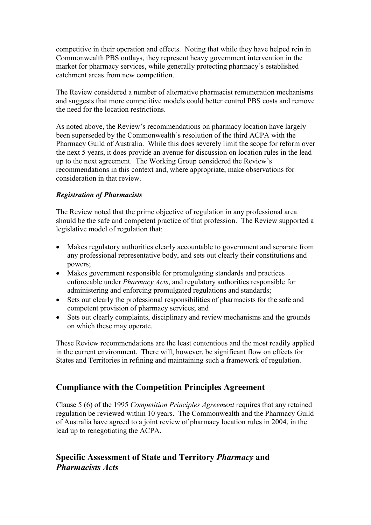competitive in their operation and effects. Noting that while they have helped rein in Commonwealth PBS outlays, they represent heavy government intervention in the market for pharmacy services, while generally protecting pharmacy's established catchment areas from new competition.

The Review considered a number of alternative pharmacist remuneration mechanisms and suggests that more competitive models could better control PBS costs and remove the need for the location restrictions.

As noted above, the Review's recommendations on pharmacy location have largely been superseded by the Commonwealth's resolution of the third ACPA with the Pharmacy Guild of Australia. While this does severely limit the scope for reform over the next 5 years, it does provide an avenue for discussion on location rules in the lead up to the next agreement. The Working Group considered the Review's recommendations in this context and, where appropriate, make observations for consideration in that review.

#### *Registration of Pharmacists*

The Review noted that the prime objective of regulation in any professional area should be the safe and competent practice of that profession. The Review supported a legislative model of regulation that:

- Makes regulatory authorities clearly accountable to government and separate from any professional representative body, and sets out clearly their constitutions and powers;
- Makes government responsible for promulgating standards and practices enforceable under *Pharmacy Acts*, and regulatory authorities responsible for administering and enforcing promulgated regulations and standards;
- Sets out clearly the professional responsibilities of pharmacists for the safe and competent provision of pharmacy services; and
- Sets out clearly complaints, disciplinary and review mechanisms and the grounds on which these may operate.

These Review recommendations are the least contentious and the most readily applied in the current environment. There will, however, be significant flow on effects for States and Territories in refining and maintaining such a framework of regulation.

# **Compliance with the Competition Principles Agreement**

Clause 5 (6) of the 1995 *Competition Principles Agreement* requires that any retained regulation be reviewed within 10 years. The Commonwealth and the Pharmacy Guild of Australia have agreed to a joint review of pharmacy location rules in 2004, in the lead up to renegotiating the ACPA.

# **Specific Assessment of State and Territory** *Pharmacy* **and** *Pharmacists Acts*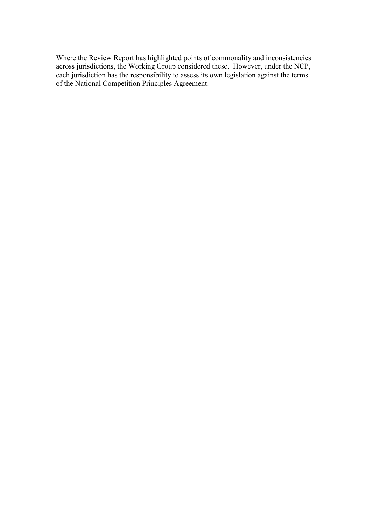Where the Review Report has highlighted points of commonality and inconsistencies across jurisdictions, the Working Group considered these. However, under the NCP, each jurisdiction has the responsibility to assess its own legislation against the terms of the National Competition Principles Agreement.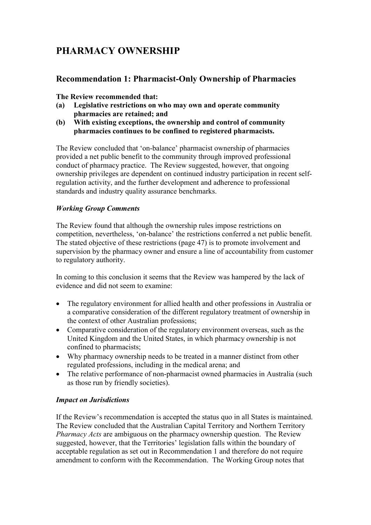# **PHARMACY OWNERSHIP**

# **Recommendation 1: Pharmacist-Only Ownership of Pharmacies**

**The Review recommended that:**

- **(a) Legislative restrictions on who may own and operate community pharmacies are retained; and**
- **(b) With existing exceptions, the ownership and control of community pharmacies continues to be confined to registered pharmacists.**

The Review concluded that 'on-balance' pharmacist ownership of pharmacies provided a net public benefit to the community through improved professional conduct of pharmacy practice. The Review suggested, however, that ongoing ownership privileges are dependent on continued industry participation in recent selfregulation activity, and the further development and adherence to professional standards and industry quality assurance benchmarks.

#### *Working Group Comments*

The Review found that although the ownership rules impose restrictions on competition, nevertheless, 'on-balance' the restrictions conferred a net public benefit. The stated objective of these restrictions (page 47) is to promote involvement and supervision by the pharmacy owner and ensure a line of accountability from customer to regulatory authority.

In coming to this conclusion it seems that the Review was hampered by the lack of evidence and did not seem to examine:

- The regulatory environment for allied health and other professions in Australia or a comparative consideration of the different regulatory treatment of ownership in the context of other Australian professions;
- Comparative consideration of the regulatory environment overseas, such as the United Kingdom and the United States, in which pharmacy ownership is not confined to pharmacists;
- Why pharmacy ownership needs to be treated in a manner distinct from other regulated professions, including in the medical arena; and
- The relative performance of non-pharmacist owned pharmacies in Australia (such as those run by friendly societies).

#### *Impact on Jurisdictions*

If the Review's recommendation is accepted the status quo in all States is maintained. The Review concluded that the Australian Capital Territory and Northern Territory *Pharmacy Acts* are ambiguous on the pharmacy ownership question. The Review suggested, however, that the Territories' legislation falls within the boundary of acceptable regulation as set out in Recommendation 1 and therefore do not require amendment to conform with the Recommendation. The Working Group notes that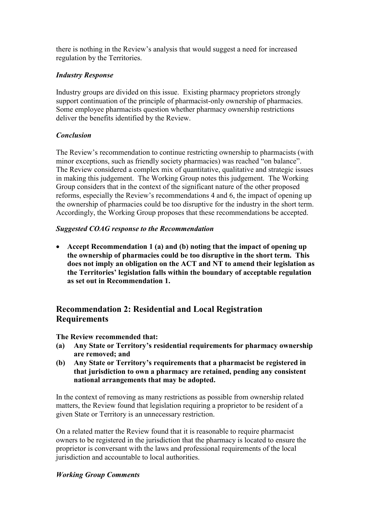there is nothing in the Review's analysis that would suggest a need for increased regulation by the Territories.

## *Industry Response*

Industry groups are divided on this issue. Existing pharmacy proprietors strongly support continuation of the principle of pharmacist-only ownership of pharmacies. Some employee pharmacists question whether pharmacy ownership restrictions deliver the benefits identified by the Review.

#### *Conclusion*

The Review's recommendation to continue restricting ownership to pharmacists (with minor exceptions, such as friendly society pharmacies) was reached "on balance". The Review considered a complex mix of quantitative, qualitative and strategic issues in making this judgement. The Working Group notes this judgement. The Working Group considers that in the context of the significant nature of the other proposed reforms, especially the Review's recommendations 4 and 6, the impact of opening up the ownership of pharmacies could be too disruptive for the industry in the short term. Accordingly, the Working Group proposes that these recommendations be accepted.

#### *Suggested COAG response to the Recommendation*

 **Accept Recommendation 1 (a) and (b) noting that the impact of opening up the ownership of pharmacies could be too disruptive in the short term. This does not imply an obligation on the ACT and NT to amend their legislation as the Territories' legislation falls within the boundary of acceptable regulation as set out in Recommendation 1.**

# **Recommendation 2: Residential and Local Registration Requirements**

**The Review recommended that:**

- **(a) Any State or Territory's residential requirements for pharmacy ownership are removed; and**
- **(b) Any State or Territory's requirements that a pharmacist be registered in that jurisdiction to own a pharmacy are retained, pending any consistent national arrangements that may be adopted.**

In the context of removing as many restrictions as possible from ownership related matters, the Review found that legislation requiring a proprietor to be resident of a given State or Territory is an unnecessary restriction.

On a related matter the Review found that it is reasonable to require pharmacist owners to be registered in the jurisdiction that the pharmacy is located to ensure the proprietor is conversant with the laws and professional requirements of the local jurisdiction and accountable to local authorities.

#### *Working Group Comments*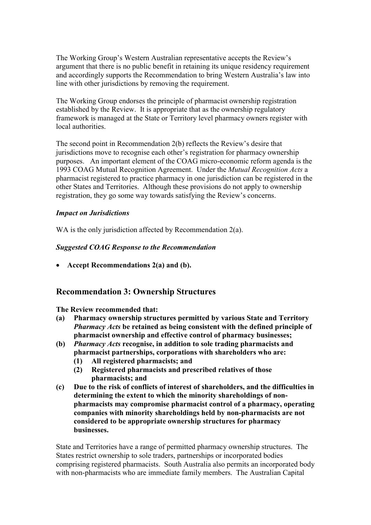The Working Group's Western Australian representative accepts the Review's argument that there is no public benefit in retaining its unique residency requirement and accordingly supports the Recommendation to bring Western Australia's law into line with other jurisdictions by removing the requirement.

The Working Group endorses the principle of pharmacist ownership registration established by the Review. It is appropriate that as the ownership regulatory framework is managed at the State or Territory level pharmacy owners register with local authorities.

The second point in Recommendation 2(b) reflects the Review's desire that jurisdictions move to recognise each other's registration for pharmacy ownership purposes. An important element of the COAG micro-economic reform agenda is the 1993 COAG Mutual Recognition Agreement. Under the *Mutual Recognition Acts* a pharmacist registered to practice pharmacy in one jurisdiction can be registered in the other States and Territories. Although these provisions do not apply to ownership registration, they go some way towards satisfying the Review's concerns.

#### *Impact on Jurisdictions*

WA is the only jurisdiction affected by Recommendation 2(a).

#### *Suggested COAG Response to the Recommendation*

**Accept Recommendations 2(a) and (b).**

# **Recommendation 3: Ownership Structures**

**The Review recommended that:**

- **(a) Pharmacy ownership structures permitted by various State and Territory** *Pharmacy Acts* **be retained as being consistent with the defined principle of pharmacist ownership and effective control of pharmacy businesses;**
- **(b)** *Pharmacy Acts* **recognise, in addition to sole trading pharmacists and pharmacist partnerships, corporations with shareholders who are:**
	- **(1) All registered pharmacists; and**
	- **(2) Registered pharmacists and prescribed relatives of those pharmacists; and**
- **(c) Due to the risk of conflicts of interest of shareholders, and the difficulties in determining the extent to which the minority shareholdings of nonpharmacists may compromise pharmacist control of a pharmacy, operating companies with minority shareholdings held by non-pharmacists are not considered to be appropriate ownership structures for pharmacy businesses.**

State and Territories have a range of permitted pharmacy ownership structures. The States restrict ownership to sole traders, partnerships or incorporated bodies comprising registered pharmacists. South Australia also permits an incorporated body with non-pharmacists who are immediate family members. The Australian Capital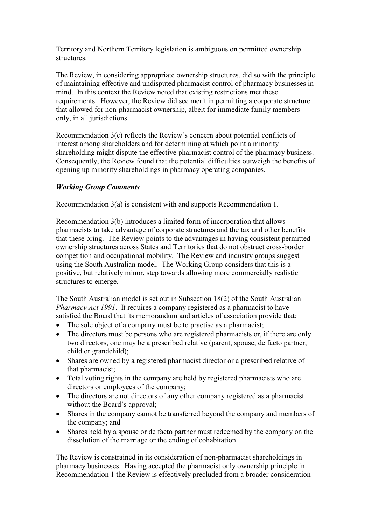Territory and Northern Territory legislation is ambiguous on permitted ownership structures.

The Review, in considering appropriate ownership structures, did so with the principle of maintaining effective and undisputed pharmacist control of pharmacy businesses in mind. In this context the Review noted that existing restrictions met these requirements. However, the Review did see merit in permitting a corporate structure that allowed for non-pharmacist ownership, albeit for immediate family members only, in all jurisdictions.

Recommendation 3(c) reflects the Review's concern about potential conflicts of interest among shareholders and for determining at which point a minority shareholding might dispute the effective pharmacist control of the pharmacy business. Consequently, the Review found that the potential difficulties outweigh the benefits of opening up minority shareholdings in pharmacy operating companies.

#### *Working Group Comments*

Recommendation 3(a) is consistent with and supports Recommendation 1.

Recommendation 3(b) introduces a limited form of incorporation that allows pharmacists to take advantage of corporate structures and the tax and other benefits that these bring. The Review points to the advantages in having consistent permitted ownership structures across States and Territories that do not obstruct cross-border competition and occupational mobility. The Review and industry groups suggest using the South Australian model. The Working Group considers that this is a positive, but relatively minor, step towards allowing more commercially realistic structures to emerge.

The South Australian model is set out in Subsection 18(2) of the South Australian *Pharmacy Act 1991*. It requires a company registered as a pharmacist to have satisfied the Board that its memorandum and articles of association provide that:

- The sole object of a company must be to practise as a pharmacist;
- The directors must be persons who are registered pharmacists or, if there are only two directors, one may be a prescribed relative (parent, spouse, de facto partner, child or grandchild);
- Shares are owned by a registered pharmacist director or a prescribed relative of that pharmacist;
- Total voting rights in the company are held by registered pharmacists who are directors or employees of the company;
- The directors are not directors of any other company registered as a pharmacist without the Board's approval;
- Shares in the company cannot be transferred beyond the company and members of the company; and
- Shares held by a spouse or de facto partner must redeemed by the company on the dissolution of the marriage or the ending of cohabitation.

The Review is constrained in its consideration of non-pharmacist shareholdings in pharmacy businesses. Having accepted the pharmacist only ownership principle in Recommendation 1 the Review is effectively precluded from a broader consideration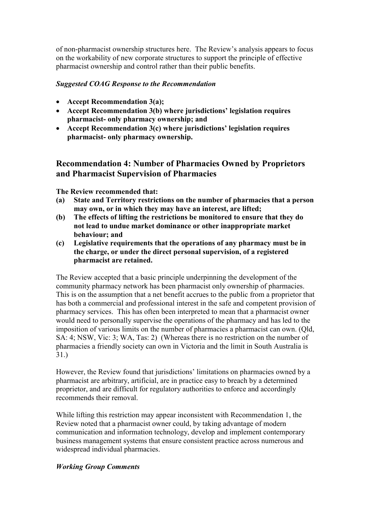of non-pharmacist ownership structures here. The Review's analysis appears to focus on the workability of new corporate structures to support the principle of effective pharmacist ownership and control rather than their public benefits.

#### *Suggested COAG Response to the Recommendation*

- **Accept Recommendation 3(a);**
- **Accept Recommendation 3(b) where jurisdictions' legislation requires pharmacist- only pharmacy ownership; and**
- **Accept Recommendation 3(c) where jurisdictions' legislation requires pharmacist- only pharmacy ownership.**

# **Recommendation 4: Number of Pharmacies Owned by Proprietors and Pharmacist Supervision of Pharmacies**

**The Review recommended that:**

- **(a) State and Territory restrictions on the number of pharmacies that a person may own, or in which they may have an interest, are lifted;**
- **(b) The effects of lifting the restrictions be monitored to ensure that they do not lead to undue market dominance or other inappropriate market behaviour; and**
- **(c) Legislative requirements that the operations of any pharmacy must be in the charge, or under the direct personal supervision, of a registered pharmacist are retained.**

The Review accepted that a basic principle underpinning the development of the community pharmacy network has been pharmacist only ownership of pharmacies. This is on the assumption that a net benefit accrues to the public from a proprietor that has both a commercial and professional interest in the safe and competent provision of pharmacy services. This has often been interpreted to mean that a pharmacist owner would need to personally supervise the operations of the pharmacy and has led to the imposition of various limits on the number of pharmacies a pharmacist can own. (Qld, SA: 4; NSW, Vic: 3; WA, Tas: 2) (Whereas there is no restriction on the number of pharmacies a friendly society can own in Victoria and the limit in South Australia is 31.)

However, the Review found that jurisdictions' limitations on pharmacies owned by a pharmacist are arbitrary, artificial, are in practice easy to breach by a determined proprietor, and are difficult for regulatory authorities to enforce and accordingly recommends their removal.

While lifting this restriction may appear inconsistent with Recommendation 1, the Review noted that a pharmacist owner could, by taking advantage of modern communication and information technology, develop and implement contemporary business management systems that ensure consistent practice across numerous and widespread individual pharmacies.

#### *Working Group Comments*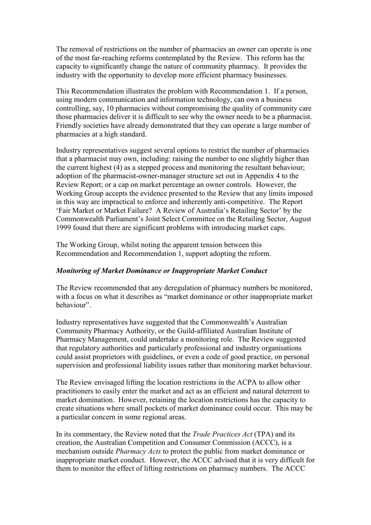The removal of restrictions on the number of pharmacies an owner can operate is one of the most far-reaching reforms contemplated by the Review. This reform has the capacity to significantly change the nature of community pharmacy. It provides the industry with the opportunity to develop more efficient pharmacy businesses.

This Recommendation illustrates the problem with Recommendation 1. If a person, using modern communication and information technology, can own a business controlling, say, 10 pharmacies without compromising the quality of community care those pharmacies deliver it is difficult to see why the owner needs to be a pharmacist. Friendly societies have already demonstrated that they can operate a large number of pharmacies at a high standard.

Industry representatives suggest several options to restrict the number of pharmacies that a pharmacist may own, including: raising the number to one slightly higher than the current highest (4) as a stepped process and monitoring the resultant behaviour; adoption of the pharmacist-owner-manager structure set out in Appendix 4 to the Review Report; or a cap on market percentage an owner controls. However, the Working Group accepts the evidence presented to the Review that any limits imposed in this way are impractical to enforce and inherently anti-competitive. The Report 'Fair Market or Market Failure? A Review of Australia's Retailing Sector' by the Commonwealth Parliament's Joint Select Committee on the Retailing Sector, August 1999 found that there are significant problems with introducing market caps.

The Working Group, whilst noting the apparent tension between this Recommendation and Recommendation 1, support adopting the reform.

#### *Monitoring of Market Dominance or Inappropriate Market Conduct*

The Review recommended that any deregulation of pharmacy numbers be monitored, with a focus on what it describes as "market dominance or other inappropriate market behaviour".

Industry representatives have suggested that the Commonwealth's Australian Community Pharmacy Authority, or the Guild-affiliated Australian Institute of Pharmacy Management, could undertake a monitoring role. The Review suggested that regulatory authorities and particularly professional and industry organisations could assist proprietors with guidelines, or even a code of good practice, on personal supervision and professional liability issues rather than monitoring market behaviour.

The Review envisaged lifting the location restrictions in the ACPA to allow other practitioners to easily enter the market and act as an efficient and natural deterrent to market domination. However, retaining the location restrictions has the capacity to create situations where small pockets of market dominance could occur. This may be a particular concern in some regional areas.

In its commentary, the Review noted that the *Trade Practices Act* (TPA) and its creation, the Australian Competition and Consumer Commission (ACCC), is a mechanism outside *Pharmacy Acts* to protect the public from market dominance or inappropriate market conduct. However, the ACCC advised that it is very difficult for them to monitor the effect of lifting restrictions on pharmacy numbers. The ACCC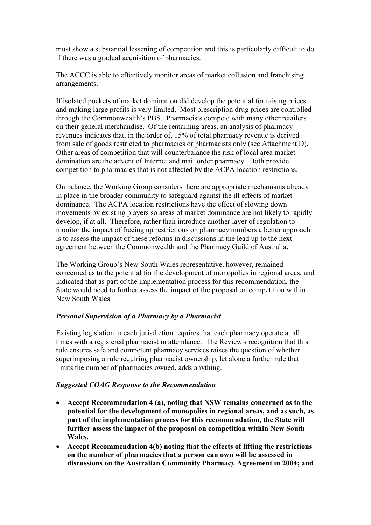must show a substantial lessening of competition and this is particularly difficult to do if there was a gradual acquisition of pharmacies.

The ACCC is able to effectively monitor areas of market collusion and franchising arrangements.

If isolated pockets of market domination did develop the potential for raising prices and making large profits is very limited. Most prescription drug prices are controlled through the Commonwealth's PBS. Pharmacists compete with many other retailers on their general merchandise. Of the remaining areas, an analysis of pharmacy revenues indicates that, in the order of, 15% of total pharmacy revenue is derived from sale of goods restricted to pharmacies or pharmacists only (see Attachment D). Other areas of competition that will counterbalance the risk of local area market domination are the advent of Internet and mail order pharmacy. Both provide competition to pharmacies that is not affected by the ACPA location restrictions.

On balance, the Working Group considers there are appropriate mechanisms already in place in the broader community to safeguard against the ill effects of market dominance. The ACPA location restrictions have the effect of slowing down movements by existing players so areas of market dominance are not likely to rapidly develop, if at all. Therefore, rather than introduce another layer of regulation to monitor the impact of freeing up restrictions on pharmacy numbers a better approach is to assess the impact of these reforms in discussions in the lead up to the next agreement between the Commonwealth and the Pharmacy Guild of Australia.

The Working Group's New South Wales representative, however, remained concerned as to the potential for the development of monopolies in regional areas, and indicated that as part of the implementation process for this recommendation, the State would need to further assess the impact of the proposal on competition within New South Wales.

#### *Personal Supervision of a Pharmacy by a Pharmacist*

Existing legislation in each jurisdiction requires that each pharmacy operate at all times with a registered pharmacist in attendance. The Review's recognition that this rule ensures safe and competent pharmacy services raises the question of whether superimposing a rule requiring pharmacist ownership, let alone a further rule that limits the number of pharmacies owned, adds anything.

#### *Suggested COAG Response to the Recommendation*

- **Accept Recommendation 4 (a), noting that NSW remains concerned as to the potential for the development of monopolies in regional areas, and as such, as part of the implementation process for this recommendation, the State will further assess the impact of the proposal on competition within New South Wales.**
- **Accept Recommendation 4(b) noting that the effects of lifting the restrictions on the number of pharmacies that a person can own will be assessed in discussions on the Australian Community Pharmacy Agreement in 2004; and**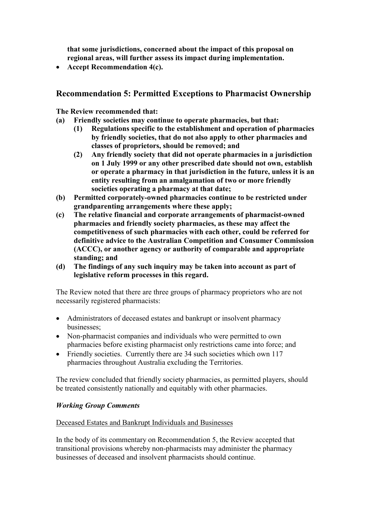**that some jurisdictions, concerned about the impact of this proposal on regional areas, will further assess its impact during implementation.**

**Accept Recommendation 4(c).**

# **Recommendation 5: Permitted Exceptions to Pharmacist Ownership**

**The Review recommended that:**

- **(a) Friendly societies may continue to operate pharmacies, but that:**
	- **(1) Regulations specific to the establishment and operation of pharmacies by friendly societies, that do not also apply to other pharmacies and classes of proprietors, should be removed; and**
	- **(2) Any friendly society that did not operate pharmacies in a jurisdiction on 1 July 1999 or any other prescribed date should not own, establish or operate a pharmacy in that jurisdiction in the future, unless it is an entity resulting from an amalgamation of two or more friendly societies operating a pharmacy at that date;**
- **(b) Permitted corporately-owned pharmacies continue to be restricted under grandparenting arrangements where these apply;**
- **(c) The relative financial and corporate arrangements of pharmacist-owned pharmacies and friendly society pharmacies, as these may affect the competitiveness of such pharmacies with each other, could be referred for definitive advice to the Australian Competition and Consumer Commission (ACCC), or another agency or authority of comparable and appropriate standing; and**
- **(d) The findings of any such inquiry may be taken into account as part of legislative reform processes in this regard.**

The Review noted that there are three groups of pharmacy proprietors who are not necessarily registered pharmacists:

- Administrators of deceased estates and bankrupt or insolvent pharmacy businesses;
- Non-pharmacist companies and individuals who were permitted to own pharmacies before existing pharmacist only restrictions came into force; and
- Friendly societies. Currently there are 34 such societies which own 117 pharmacies throughout Australia excluding the Territories.

The review concluded that friendly society pharmacies, as permitted players, should be treated consistently nationally and equitably with other pharmacies.

#### *Working Group Comments*

#### Deceased Estates and Bankrupt Individuals and Businesses

In the body of its commentary on Recommendation 5, the Review accepted that transitional provisions whereby non-pharmacists may administer the pharmacy businesses of deceased and insolvent pharmacists should continue.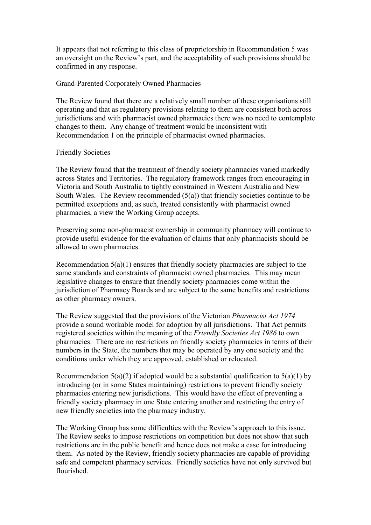It appears that not referring to this class of proprietorship in Recommendation 5 was an oversight on the Review's part, and the acceptability of such provisions should be confirmed in any response.

#### Grand-Parented Corporately Owned Pharmacies

The Review found that there are a relatively small number of these organisations still operating and that as regulatory provisions relating to them are consistent both across jurisdictions and with pharmacist owned pharmacies there was no need to contemplate changes to them. Any change of treatment would be inconsistent with Recommendation 1 on the principle of pharmacist owned pharmacies.

#### Friendly Societies

The Review found that the treatment of friendly society pharmacies varied markedly across States and Territories. The regulatory framework ranges from encouraging in Victoria and South Australia to tightly constrained in Western Australia and New South Wales. The Review recommended  $(5(a))$  that friendly societies continue to be permitted exceptions and, as such, treated consistently with pharmacist owned pharmacies, a view the Working Group accepts.

Preserving some non-pharmacist ownership in community pharmacy will continue to provide useful evidence for the evaluation of claims that only pharmacists should be allowed to own pharmacies.

Recommendation 5(a)(1) ensures that friendly society pharmacies are subject to the same standards and constraints of pharmacist owned pharmacies. This may mean legislative changes to ensure that friendly society pharmacies come within the jurisdiction of Pharmacy Boards and are subject to the same benefits and restrictions as other pharmacy owners.

The Review suggested that the provisions of the Victorian *Pharmacist Act 1974* provide a sound workable model for adoption by all jurisdictions. That Act permits registered societies within the meaning of the *Friendly Societies Act 1986* to own pharmacies. There are no restrictions on friendly society pharmacies in terms of their numbers in the State, the numbers that may be operated by any one society and the conditions under which they are approved, established or relocated.

Recommendation  $5(a)(2)$  if adopted would be a substantial qualification to  $5(a)(1)$  by introducing (or in some States maintaining) restrictions to prevent friendly society pharmacies entering new jurisdictions. This would have the effect of preventing a friendly society pharmacy in one State entering another and restricting the entry of new friendly societies into the pharmacy industry.

The Working Group has some difficulties with the Review's approach to this issue. The Review seeks to impose restrictions on competition but does not show that such restrictions are in the public benefit and hence does not make a case for introducing them. As noted by the Review, friendly society pharmacies are capable of providing safe and competent pharmacy services. Friendly societies have not only survived but flourished.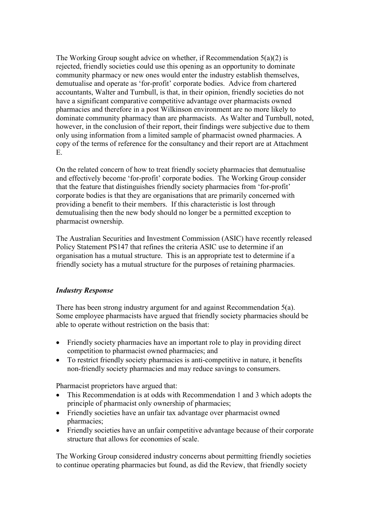The Working Group sought advice on whether, if Recommendation 5(a)(2) is rejected, friendly societies could use this opening as an opportunity to dominate community pharmacy or new ones would enter the industry establish themselves, demutualise and operate as 'for-profit' corporate bodies. Advice from chartered accountants, Walter and Turnbull, is that, in their opinion, friendly societies do not have a significant comparative competitive advantage over pharmacists owned pharmacies and therefore in a post Wilkinson environment are no more likely to dominate community pharmacy than are pharmacists. As Walter and Turnbull, noted, however, in the conclusion of their report, their findings were subjective due to them only using information from a limited sample of pharmacist owned pharmacies. A copy of the terms of reference for the consultancy and their report are at Attachment E.

On the related concern of how to treat friendly society pharmacies that demutualise and effectively become 'for-profit' corporate bodies. The Working Group consider that the feature that distinguishes friendly society pharmacies from 'for-profit' corporate bodies is that they are organisations that are primarily concerned with providing a benefit to their members. If this characteristic is lost through demutualising then the new body should no longer be a permitted exception to pharmacist ownership.

The Australian Securities and Investment Commission (ASIC) have recently released Policy Statement PS147 that refines the criteria ASIC use to determine if an organisation has a mutual structure. This is an appropriate test to determine if a friendly society has a mutual structure for the purposes of retaining pharmacies.

#### *Industry Response*

There has been strong industry argument for and against Recommendation 5(a). Some employee pharmacists have argued that friendly society pharmacies should be able to operate without restriction on the basis that:

- Friendly society pharmacies have an important role to play in providing direct competition to pharmacist owned pharmacies; and
- To restrict friendly society pharmacies is anti-competitive in nature, it benefits non-friendly society pharmacies and may reduce savings to consumers.

Pharmacist proprietors have argued that:

- This Recommendation is at odds with Recommendation 1 and 3 which adopts the principle of pharmacist only ownership of pharmacies;
- Friendly societies have an unfair tax advantage over pharmacist owned pharmacies;
- Friendly societies have an unfair competitive advantage because of their corporate structure that allows for economies of scale.

The Working Group considered industry concerns about permitting friendly societies to continue operating pharmacies but found, as did the Review, that friendly society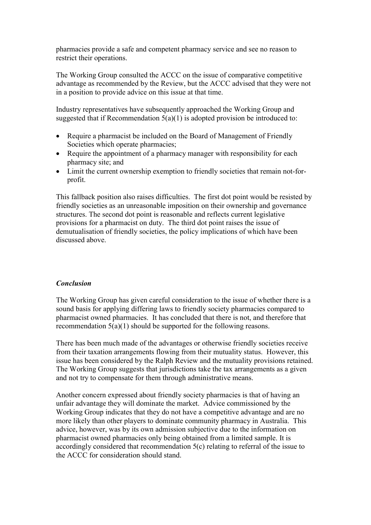pharmacies provide a safe and competent pharmacy service and see no reason to restrict their operations.

The Working Group consulted the ACCC on the issue of comparative competitive advantage as recommended by the Review, but the ACCC advised that they were not in a position to provide advice on this issue at that time.

Industry representatives have subsequently approached the Working Group and suggested that if Recommendation  $5(a)(1)$  is adopted provision be introduced to:

- Require a pharmacist be included on the Board of Management of Friendly Societies which operate pharmacies;
- Require the appointment of a pharmacy manager with responsibility for each pharmacy site; and
- Limit the current ownership exemption to friendly societies that remain not-forprofit.

This fallback position also raises difficulties. The first dot point would be resisted by friendly societies as an unreasonable imposition on their ownership and governance structures. The second dot point is reasonable and reflects current legislative provisions for a pharmacist on duty. The third dot point raises the issue of demutualisation of friendly societies, the policy implications of which have been discussed above.

#### *Conclusion*

The Working Group has given careful consideration to the issue of whether there is a sound basis for applying differing laws to friendly society pharmacies compared to pharmacist owned pharmacies. It has concluded that there is not, and therefore that recommendation 5(a)(1) should be supported for the following reasons.

There has been much made of the advantages or otherwise friendly societies receive from their taxation arrangements flowing from their mutuality status. However, this issue has been considered by the Ralph Review and the mutuality provisions retained. The Working Group suggests that jurisdictions take the tax arrangements as a given and not try to compensate for them through administrative means.

Another concern expressed about friendly society pharmacies is that of having an unfair advantage they will dominate the market. Advice commissioned by the Working Group indicates that they do not have a competitive advantage and are no more likely than other players to dominate community pharmacy in Australia. This advice, however, was by its own admission subjective due to the information on pharmacist owned pharmacies only being obtained from a limited sample. It is accordingly considered that recommendation 5(c) relating to referral of the issue to the ACCC for consideration should stand.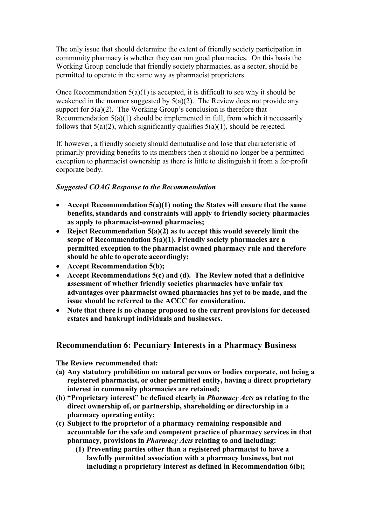The only issue that should determine the extent of friendly society participation in community pharmacy is whether they can run good pharmacies. On this basis the Working Group conclude that friendly society pharmacies, as a sector, should be permitted to operate in the same way as pharmacist proprietors.

Once Recommendation  $5(a)(1)$  is accepted, it is difficult to see why it should be weakened in the manner suggested by  $5(a)(2)$ . The Review does not provide any support for  $5(a)(2)$ . The Working Group's conclusion is therefore that Recommendation  $5(a)(1)$  should be implemented in full, from which it necessarily follows that  $5(a)(2)$ , which significantly qualifies  $5(a)(1)$ , should be rejected.

If, however, a friendly society should demutualise and lose that characteristic of primarily providing benefits to its members then it should no longer be a permitted exception to pharmacist ownership as there is little to distinguish it from a for-profit corporate body.

#### *Suggested COAG Response to the Recommendation*

- **Accept Recommendation 5(a)(1) noting the States will ensure that the same benefits, standards and constraints will apply to friendly society pharmacies as apply to pharmacist-owned pharmacies;**
- **Reject Recommendation 5(a)(2) as to accept this would severely limit the scope of Recommendation 5(a)(1). Friendly society pharmacies are a permitted exception to the pharmacist owned pharmacy rule and therefore should be able to operate accordingly;**
- **Accept Recommendation 5(b);**
- **Accept Recommendations 5(c) and (d). The Review noted that a definitive assessment of whether friendly societies pharmacies have unfair tax advantages over pharmacist owned pharmacies has yet to be made, and the issue should be referred to the ACCC for consideration.**
- **Note that there is no change proposed to the current provisions for deceased estates and bankrupt individuals and businesses.**

#### **Recommendation 6: Pecuniary Interests in a Pharmacy Business**

**The Review recommended that:**

- **(a) Any statutory prohibition on natural persons or bodies corporate, not being a registered pharmacist, or other permitted entity, having a direct proprietary interest in community pharmacies are retained;**
- **(b) "Proprietary interest" be defined clearly in** *Pharmacy Acts* **as relating to the direct ownership of, or partnership, shareholding or directorship in a pharmacy operating entity;**
- **(c) Subject to the proprietor of a pharmacy remaining responsible and accountable for the safe and competent practice of pharmacy services in that pharmacy, provisions in** *Pharmacy Acts* **relating to and including:**
	- **(1) Preventing parties other than a registered pharmacist to have a lawfully permitted association with a pharmacy business, but not including a proprietary interest as defined in Recommendation 6(b);**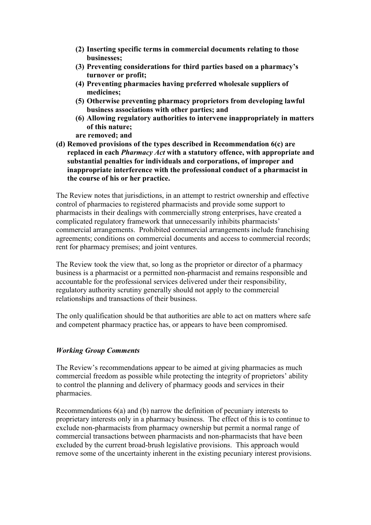- **(2) Inserting specific terms in commercial documents relating to those businesses;**
- **(3) Preventing considerations for third parties based on a pharmacy's turnover or profit;**
- **(4) Preventing pharmacies having preferred wholesale suppliers of medicines;**
- **(5) Otherwise preventing pharmacy proprietors from developing lawful business associations with other parties; and**
- **(6) Allowing regulatory authorities to intervene inappropriately in matters of this nature;**

**are removed; and**

**(d) Removed provisions of the types described in Recommendation 6(c) are replaced in each** *Pharmacy Act* **with a statutory offence, with appropriate and substantial penalties for individuals and corporations, of improper and inappropriate interference with the professional conduct of a pharmacist in the course of his or her practice.**

The Review notes that jurisdictions, in an attempt to restrict ownership and effective control of pharmacies to registered pharmacists and provide some support to pharmacists in their dealings with commercially strong enterprises, have created a complicated regulatory framework that unnecessarily inhibits pharmacists' commercial arrangements. Prohibited commercial arrangements include franchising agreements; conditions on commercial documents and access to commercial records; rent for pharmacy premises; and joint ventures.

The Review took the view that, so long as the proprietor or director of a pharmacy business is a pharmacist or a permitted non-pharmacist and remains responsible and accountable for the professional services delivered under their responsibility, regulatory authority scrutiny generally should not apply to the commercial relationships and transactions of their business.

The only qualification should be that authorities are able to act on matters where safe and competent pharmacy practice has, or appears to have been compromised.

#### *Working Group Comments*

The Review's recommendations appear to be aimed at giving pharmacies as much commercial freedom as possible while protecting the integrity of proprietors' ability to control the planning and delivery of pharmacy goods and services in their pharmacies.

Recommendations 6(a) and (b) narrow the definition of pecuniary interests to proprietary interests only in a pharmacy business. The effect of this is to continue to exclude non-pharmacists from pharmacy ownership but permit a normal range of commercial transactions between pharmacists and non-pharmacists that have been excluded by the current broad-brush legislative provisions. This approach would remove some of the uncertainty inherent in the existing pecuniary interest provisions.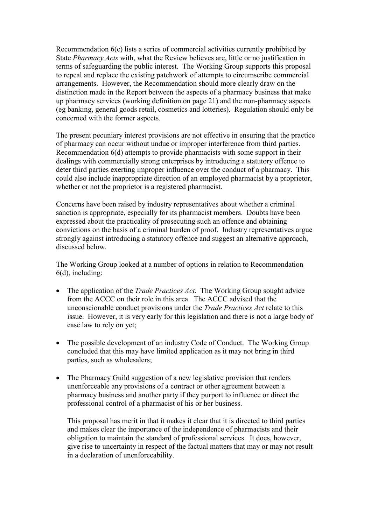Recommendation 6(c) lists a series of commercial activities currently prohibited by State *Pharmacy Acts* with, what the Review believes are, little or no justification in terms of safeguarding the public interest. The Working Group supports this proposal to repeal and replace the existing patchwork of attempts to circumscribe commercial arrangements. However, the Recommendation should more clearly draw on the distinction made in the Report between the aspects of a pharmacy business that make up pharmacy services (working definition on page 21) and the non-pharmacy aspects (eg banking, general goods retail, cosmetics and lotteries). Regulation should only be concerned with the former aspects.

The present pecuniary interest provisions are not effective in ensuring that the practice of pharmacy can occur without undue or improper interference from third parties. Recommendation 6(d) attempts to provide pharmacists with some support in their dealings with commercially strong enterprises by introducing a statutory offence to deter third parties exerting improper influence over the conduct of a pharmacy. This could also include inappropriate direction of an employed pharmacist by a proprietor, whether or not the proprietor is a registered pharmacist.

Concerns have been raised by industry representatives about whether a criminal sanction is appropriate, especially for its pharmacist members. Doubts have been expressed about the practicality of prosecuting such an offence and obtaining convictions on the basis of a criminal burden of proof. Industry representatives argue strongly against introducing a statutory offence and suggest an alternative approach, discussed below.

The Working Group looked at a number of options in relation to Recommendation 6(d), including:

- The application of the *Trade Practices Act*. The Working Group sought advice from the ACCC on their role in this area. The ACCC advised that the unconscionable conduct provisions under the *Trade Practices Act* relate to this issue. However, it is very early for this legislation and there is not a large body of case law to rely on yet;
- The possible development of an industry Code of Conduct. The Working Group concluded that this may have limited application as it may not bring in third parties, such as wholesalers;
- The Pharmacy Guild suggestion of a new legislative provision that renders unenforceable any provisions of a contract or other agreement between a pharmacy business and another party if they purport to influence or direct the professional control of a pharmacist of his or her business.

This proposal has merit in that it makes it clear that it is directed to third parties and makes clear the importance of the independence of pharmacists and their obligation to maintain the standard of professional services. It does, however, give rise to uncertainty in respect of the factual matters that may or may not result in a declaration of unenforceability.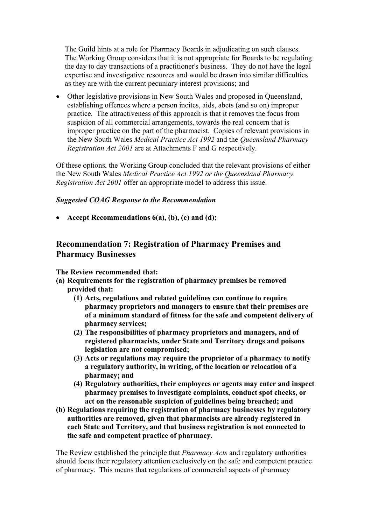The Guild hints at a role for Pharmacy Boards in adjudicating on such clauses. The Working Group considers that it is not appropriate for Boards to be regulating the day to day transactions of a practitioner's business. They do not have the legal expertise and investigative resources and would be drawn into similar difficulties as they are with the current pecuniary interest provisions; and

 Other legislative provisions in New South Wales and proposed in Queensland, establishing offences where a person incites, aids, abets (and so on) improper practice. The attractiveness of this approach is that it removes the focus from suspicion of all commercial arrangements, towards the real concern that is improper practice on the part of the pharmacist. Copies of relevant provisions in the New South Wales *Medical Practice Act 1992* and the *Queensland Pharmacy Registration Act 2001* are at Attachments F and G respectively.

Of these options, the Working Group concluded that the relevant provisions of either the New South Wales *Medical Practice Act 1992 or the Queensland Pharmacy Registration Act 2001* offer an appropriate model to address this issue.

#### *Suggested COAG Response to the Recommendation*

**Accept Recommendations 6(a), (b), (c) and (d);**

# **Recommendation 7: Registration of Pharmacy Premises and Pharmacy Businesses**

**The Review recommended that:**

- **(a) Requirements for the registration of pharmacy premises be removed provided that:**
	- **(1) Acts, regulations and related guidelines can continue to require pharmacy proprietors and managers to ensure that their premises are of a minimum standard of fitness for the safe and competent delivery of pharmacy services;**
	- **(2) The responsibilities of pharmacy proprietors and managers, and of registered pharmacists, under State and Territory drugs and poisons legislation are not compromised;**
	- **(3) Acts or regulations may require the proprietor of a pharmacy to notify a regulatory authority, in writing, of the location or relocation of a pharmacy; and**
	- **(4) Regulatory authorities, their employees or agents may enter and inspect pharmacy premises to investigate complaints, conduct spot checks, or act on the reasonable suspicion of guidelines being breached; and**
- **(b) Regulations requiring the registration of pharmacy businesses by regulatory authorities are removed, given that pharmacists are already registered in each State and Territory, and that business registration is not connected to the safe and competent practice of pharmacy.**

The Review established the principle that *Pharmacy Acts* and regulatory authorities should focus their regulatory attention exclusively on the safe and competent practice of pharmacy. This means that regulations of commercial aspects of pharmacy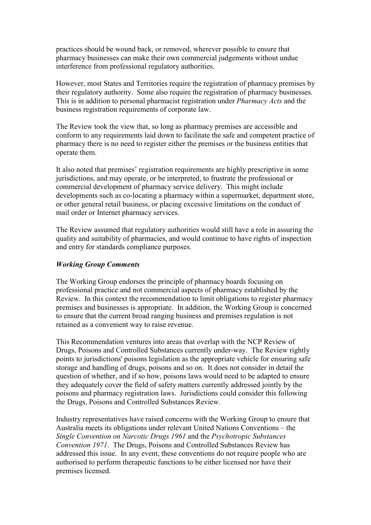practices should be wound back, or removed, wherever possible to ensure that pharmacy businesses can make their own commercial judgements without undue interference from professional regulatory authorities.

However, most States and Territories require the registration of pharmacy premises by their regulatory authority. Some also require the registration of pharmacy businesses. This is in addition to personal pharmacist registration under *Pharmacy Acts* and the business registration requirements of corporate law.

The Review took the view that, so long as pharmacy premises are accessible and conform to any requirements laid down to facilitate the safe and competent practice of pharmacy there is no need to register either the premises or the business entities that operate them.

It also noted that premises' registration requirements are highly prescriptive in some jurisdictions, and may operate, or be interpreted, to frustrate the professional or commercial development of pharmacy service delivery. This might include developments such as co-locating a pharmacy within a supermarket, department store, or other general retail business, or placing excessive limitations on the conduct of mail order or Internet pharmacy services.

The Review assumed that regulatory authorities would still have a role in assuring the quality and suitability of pharmacies, and would continue to have rights of inspection and entry for standards compliance purposes.

#### *Working Group Comments*

The Working Group endorses the principle of pharmacy boards focusing on professional practice and not commercial aspects of pharmacy established by the Review. In this context the recommendation to limit obligations to register pharmacy premises and businesses is appropriate. In addition, the Working Group is concerned to ensure that the current broad ranging business and premises regulation is not retained as a convenient way to raise revenue.

This Recommendation ventures into areas that overlap with the NCP Review of Drugs, Poisons and Controlled Substances currently under-way. The Review rightly points to jurisdictions' poisons legislation as the appropriate vehicle for ensuring safe storage and handling of drugs, poisons and so on. It does not consider in detail the question of whether, and if so how, poisons laws would need to be adapted to ensure they adequately cover the field of safety matters currently addressed jointly by the poisons and pharmacy registration laws. Jurisdictions could consider this following the Drugs, Poisons and Controlled Substances Review.

Industry representatives have raised concerns with the Working Group to ensure that Australia meets its obligations under relevant United Nations Conventions – the *Single Convention on Narcotic Drugs 1961* and the *Psychotropic Substances Convention 1971*. The Drugs, Poisons and Controlled Substances Review has addressed this issue. In any event, these conventions do not require people who are authorised to perform therapeutic functions to be either licensed nor have their premises licensed.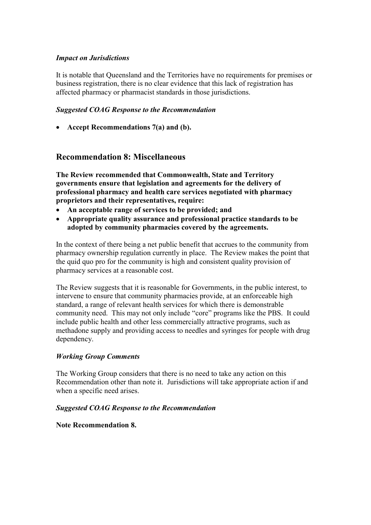#### *Impact on Jurisdictions*

It is notable that Queensland and the Territories have no requirements for premises or business registration, there is no clear evidence that this lack of registration has affected pharmacy or pharmacist standards in those jurisdictions.

#### *Suggested COAG Response to the Recommendation*

**Accept Recommendations 7(a) and (b).**

#### **Recommendation 8: Miscellaneous**

**The Review recommended that Commonwealth, State and Territory governments ensure that legislation and agreements for the delivery of professional pharmacy and health care services negotiated with pharmacy proprietors and their representatives, require:**

- **An acceptable range of services to be provided; and**
- **Appropriate quality assurance and professional practice standards to be adopted by community pharmacies covered by the agreements.**

In the context of there being a net public benefit that accrues to the community from pharmacy ownership regulation currently in place. The Review makes the point that the quid quo pro for the community is high and consistent quality provision of pharmacy services at a reasonable cost.

The Review suggests that it is reasonable for Governments, in the public interest, to intervene to ensure that community pharmacies provide, at an enforceable high standard, a range of relevant health services for which there is demonstrable community need. This may not only include "core" programs like the PBS. It could include public health and other less commercially attractive programs, such as methadone supply and providing access to needles and syringes for people with drug dependency.

#### *Working Group Comments*

The Working Group considers that there is no need to take any action on this Recommendation other than note it. Jurisdictions will take appropriate action if and when a specific need arises.

#### *Suggested COAG Response to the Recommendation*

#### **Note Recommendation 8.**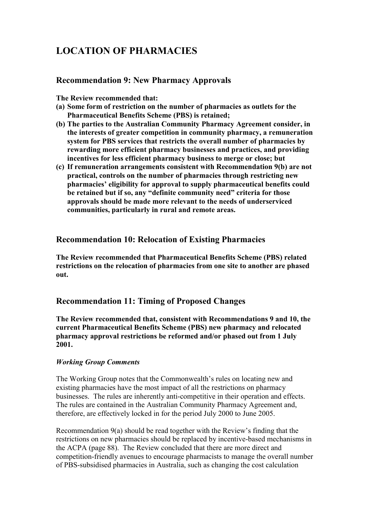# **LOCATION OF PHARMACIES**

## **Recommendation 9: New Pharmacy Approvals**

**The Review recommended that:**

- **(a) Some form of restriction on the number of pharmacies as outlets for the Pharmaceutical Benefits Scheme (PBS) is retained;**
- **(b) The parties to the Australian Community Pharmacy Agreement consider, in the interests of greater competition in community pharmacy, a remuneration system for PBS services that restricts the overall number of pharmacies by rewarding more efficient pharmacy businesses and practices, and providing incentives for less efficient pharmacy business to merge or close; but**
- **(c) If remuneration arrangements consistent with Recommendation 9(b) are not practical, controls on the number of pharmacies through restricting new pharmacies' eligibility for approval to supply pharmaceutical benefits could be retained but if so, any "definite community need" criteria for those approvals should be made more relevant to the needs of underserviced communities, particularly in rural and remote areas.**

#### **Recommendation 10: Relocation of Existing Pharmacies**

**The Review recommended that Pharmaceutical Benefits Scheme (PBS) related restrictions on the relocation of pharmacies from one site to another are phased out.**

# **Recommendation 11: Timing of Proposed Changes**

**The Review recommended that, consistent with Recommendations 9 and 10, the current Pharmaceutical Benefits Scheme (PBS) new pharmacy and relocated pharmacy approval restrictions be reformed and/or phased out from 1 July 2001.**

#### *Working Group Comments*

The Working Group notes that the Commonwealth's rules on locating new and existing pharmacies have the most impact of all the restrictions on pharmacy businesses. The rules are inherently anti-competitive in their operation and effects. The rules are contained in the Australian Community Pharmacy Agreement and, therefore, are effectively locked in for the period July 2000 to June 2005.

Recommendation 9(a) should be read together with the Review's finding that the restrictions on new pharmacies should be replaced by incentive-based mechanisms in the ACPA (page 88). The Review concluded that there are more direct and competition-friendly avenues to encourage pharmacists to manage the overall number of PBS-subsidised pharmacies in Australia, such as changing the cost calculation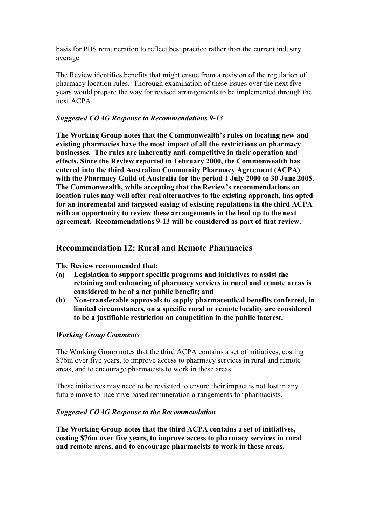basis for PBS remuneration to reflect best practice rather than the current industry average.

The Review identifies benefits that might ensue from a revision of the regulation of pharmacy location rules. Thorough examination of these issues over the next five years would prepare the way for revised arrangements to be implemented through the next ACPA.

#### *Suggested COAG Response to Recommendations 9-13*

**The Working Group notes that the Commonwealth's rules on locating new and existing pharmacies have the most impact of all the restrictions on pharmacy businesses. The rules are inherently anti-competitive in their operation and effects. Since the Review reported in February 2000, the Commonwealth has entered into the third Australian Community Pharmacy Agreement (ACPA) with the Pharmacy Guild of Australia for the period 1 July 2000 to 30 June 2005. The Commonwealth, while accepting that the Review's recommendations on location rules may well offer real alternatives to the existing approach, has opted for an incremental and targeted easing of existing regulations in the third ACPA with an opportunity to review these arrangements in the lead up to the next agreement. Recommendations 9-13 will be considered as part of that review.**

# **Recommendation 12: Rural and Remote Pharmacies**

#### **The Review recommended that:**

- **(a) Legislation to support specific programs and initiatives to assist the retaining and enhancing of pharmacy services in rural and remote areas is considered to be of a net public benefit; and**
- **(b) Non-transferable approvals to supply pharmaceutical benefits conferred, in limited circumstances, on a specific rural or remote locality are considered to be a justifiable restriction on competition in the public interest.**

#### *Working Group Comments*

The Working Group notes that the third ACPA contains a set of initiatives, costing \$76m over five years, to improve access to pharmacy services in rural and remote areas, and to encourage pharmacists to work in these areas.

These initiatives may need to be revisited to ensure their impact is not lost in any future move to incentive based remuneration arrangements for pharmacists.

#### *Suggested COAG Response to the Recommendation*

**The Working Group notes that the third ACPA contains a set of initiatives, costing \$76m over five years, to improve access to pharmacy services in rural and remote areas, and to encourage pharmacists to work in these areas.**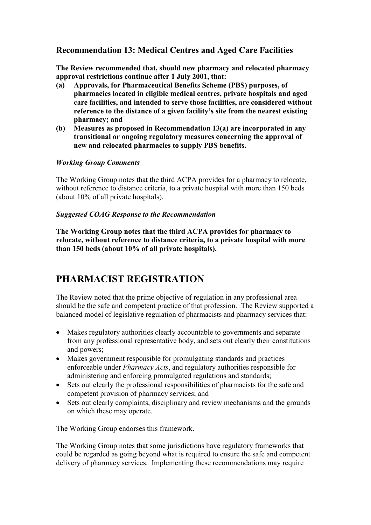# **Recommendation 13: Medical Centres and Aged Care Facilities**

**The Review recommended that, should new pharmacy and relocated pharmacy approval restrictions continue after 1 July 2001, that:**

- **(a) Approvals, for Pharmaceutical Benefits Scheme (PBS) purposes, of pharmacies located in eligible medical centres, private hospitals and aged care facilities, and intended to serve those facilities, are considered without reference to the distance of a given facility's site from the nearest existing pharmacy; and**
- **(b) Measures as proposed in Recommendation 13(a) are incorporated in any transitional or ongoing regulatory measures concerning the approval of new and relocated pharmacies to supply PBS benefits.**

#### *Working Group Comments*

The Working Group notes that the third ACPA provides for a pharmacy to relocate, without reference to distance criteria, to a private hospital with more than 150 beds (about 10% of all private hospitals).

#### *Suggested COAG Response to the Recommendation*

**The Working Group notes that the third ACPA provides for pharmacy to relocate, without reference to distance criteria, to a private hospital with more than 150 beds (about 10% of all private hospitals).**

# **PHARMACIST REGISTRATION**

The Review noted that the prime objective of regulation in any professional area should be the safe and competent practice of that profession. The Review supported a balanced model of legislative regulation of pharmacists and pharmacy services that:

- Makes regulatory authorities clearly accountable to governments and separate from any professional representative body, and sets out clearly their constitutions and powers;
- Makes government responsible for promulgating standards and practices enforceable under *Pharmacy Acts*, and regulatory authorities responsible for administering and enforcing promulgated regulations and standards;
- Sets out clearly the professional responsibilities of pharmacists for the safe and competent provision of pharmacy services; and
- Sets out clearly complaints, disciplinary and review mechanisms and the grounds on which these may operate.

The Working Group endorses this framework.

The Working Group notes that some jurisdictions have regulatory frameworks that could be regarded as going beyond what is required to ensure the safe and competent delivery of pharmacy services. Implementing these recommendations may require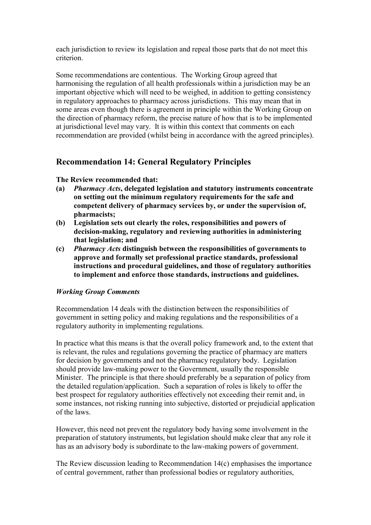each jurisdiction to review its legislation and repeal those parts that do not meet this criterion.

Some recommendations are contentious. The Working Group agreed that harmonising the regulation of all health professionals within a jurisdiction may be an important objective which will need to be weighed, in addition to getting consistency in regulatory approaches to pharmacy across jurisdictions. This may mean that in some areas even though there is agreement in principle within the Working Group on the direction of pharmacy reform, the precise nature of how that is to be implemented at jurisdictional level may vary. It is within this context that comments on each recommendation are provided (whilst being in accordance with the agreed principles).

# **Recommendation 14: General Regulatory Principles**

**The Review recommended that:**

- **(a)** *Pharmacy Acts***, delegated legislation and statutory instruments concentrate on setting out the minimum regulatory requirements for the safe and competent delivery of pharmacy services by, or under the supervision of, pharmacists;**
- **(b) Legislation sets out clearly the roles, responsibilities and powers of decision-making, regulatory and reviewing authorities in administering that legislation; and**
- **(c)** *Pharmacy Acts* **distinguish between the responsibilities of governments to approve and formally set professional practice standards, professional instructions and procedural guidelines, and those of regulatory authorities to implement and enforce those standards, instructions and guidelines.**

#### *Working Group Comments*

Recommendation 14 deals with the distinction between the responsibilities of government in setting policy and making regulations and the responsibilities of a regulatory authority in implementing regulations.

In practice what this means is that the overall policy framework and, to the extent that is relevant, the rules and regulations governing the practice of pharmacy are matters for decision by governments and not the pharmacy regulatory body. Legislation should provide law-making power to the Government, usually the responsible Minister. The principle is that there should preferably be a separation of policy from the detailed regulation/application. Such a separation of roles is likely to offer the best prospect for regulatory authorities effectively not exceeding their remit and, in some instances, not risking running into subjective, distorted or prejudicial application of the laws.

However, this need not prevent the regulatory body having some involvement in the preparation of statutory instruments, but legislation should make clear that any role it has as an advisory body is subordinate to the law-making powers of government.

The Review discussion leading to Recommendation 14(c) emphasises the importance of central government, rather than professional bodies or regulatory authorities,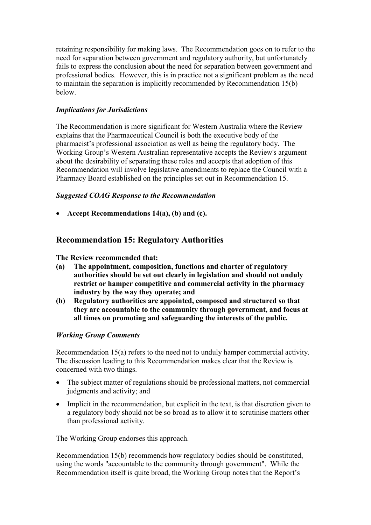retaining responsibility for making laws. The Recommendation goes on to refer to the need for separation between government and regulatory authority, but unfortunately fails to express the conclusion about the need for separation between government and professional bodies. However, this is in practice not a significant problem as the need to maintain the separation is implicitly recommended by Recommendation 15(b) below.

#### *Implications for Jurisdictions*

The Recommendation is more significant for Western Australia where the Review explains that the Pharmaceutical Council is both the executive body of the pharmacist's professional association as well as being the regulatory body. The Working Group's Western Australian representative accepts the Review's argument about the desirability of separating these roles and accepts that adoption of this Recommendation will involve legislative amendments to replace the Council with a Pharmacy Board established on the principles set out in Recommendation 15.

#### *Suggested COAG Response to the Recommendation*

**Accept Recommendations 14(a), (b) and (c).**

# **Recommendation 15: Regulatory Authorities**

**The Review recommended that:**

- **(a) The appointment, composition, functions and charter of regulatory authorities should be set out clearly in legislation and should not unduly restrict or hamper competitive and commercial activity in the pharmacy industry by the way they operate; and**
- **(b) Regulatory authorities are appointed, composed and structured so that they are accountable to the community through government, and focus at all times on promoting and safeguarding the interests of the public.**

#### *Working Group Comments*

Recommendation 15(a) refers to the need not to unduly hamper commercial activity. The discussion leading to this Recommendation makes clear that the Review is concerned with two things.

- The subject matter of regulations should be professional matters, not commercial judgments and activity; and
- Implicit in the recommendation, but explicit in the text, is that discretion given to a regulatory body should not be so broad as to allow it to scrutinise matters other than professional activity.

The Working Group endorses this approach.

Recommendation 15(b) recommends how regulatory bodies should be constituted, using the words "accountable to the community through government". While the Recommendation itself is quite broad, the Working Group notes that the Report's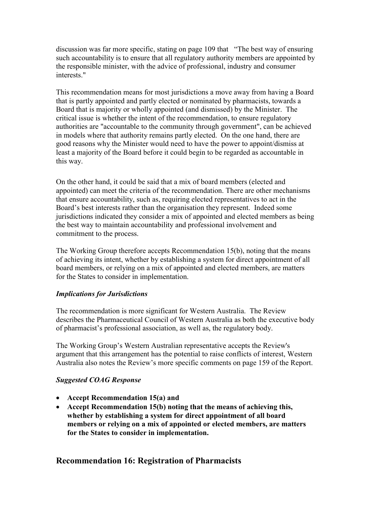discussion was far more specific, stating on page 109 that "The best way of ensuring such accountability is to ensure that all regulatory authority members are appointed by the responsible minister, with the advice of professional, industry and consumer interests."

This recommendation means for most jurisdictions a move away from having a Board that is partly appointed and partly elected or nominated by pharmacists, towards a Board that is majority or wholly appointed (and dismissed) by the Minister. The critical issue is whether the intent of the recommendation, to ensure regulatory authorities are "accountable to the community through government", can be achieved in models where that authority remains partly elected. On the one hand, there are good reasons why the Minister would need to have the power to appoint/dismiss at least a majority of the Board before it could begin to be regarded as accountable in this way.

On the other hand, it could be said that a mix of board members (elected and appointed) can meet the criteria of the recommendation. There are other mechanisms that ensure accountability, such as, requiring elected representatives to act in the Board's best interests rather than the organisation they represent. Indeed some jurisdictions indicated they consider a mix of appointed and elected members as being the best way to maintain accountability and professional involvement and commitment to the process.

The Working Group therefore accepts Recommendation 15(b), noting that the means of achieving its intent, whether by establishing a system for direct appointment of all board members, or relying on a mix of appointed and elected members, are matters for the States to consider in implementation.

#### *Implications for Jurisdictions*

The recommendation is more significant for Western Australia. The Review describes the Pharmaceutical Council of Western Australia as both the executive body of pharmacist's professional association, as well as, the regulatory body.

The Working Group's Western Australian representative accepts the Review's argument that this arrangement has the potential to raise conflicts of interest, Western Australia also notes the Review's more specific comments on page 159 of the Report.

#### *Suggested COAG Response*

- **Accept Recommendation 15(a) and**
- **Accept Recommendation 15(b) noting that the means of achieving this, whether by establishing a system for direct appointment of all board members or relying on a mix of appointed or elected members, are matters for the States to consider in implementation.**

# **Recommendation 16: Registration of Pharmacists**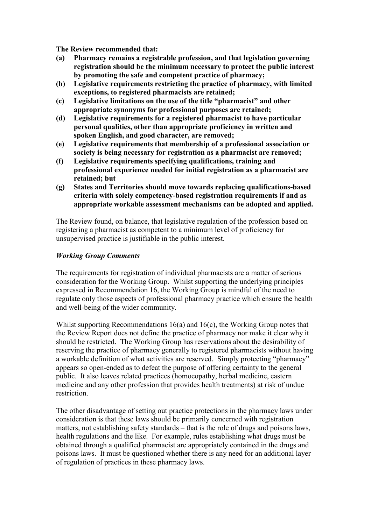**The Review recommended that:**

- **(a) Pharmacy remains a registrable profession, and that legislation governing registration should be the minimum necessary to protect the public interest by promoting the safe and competent practice of pharmacy;**
- **(b) Legislative requirements restricting the practice of pharmacy, with limited exceptions, to registered pharmacists are retained;**
- **(c) Legislative limitations on the use of the title "pharmacist" and other appropriate synonyms for professional purposes are retained;**
- **(d) Legislative requirements for a registered pharmacist to have particular personal qualities, other than appropriate proficiency in written and spoken English, and good character, are removed;**
- **(e) Legislative requirements that membership of a professional association or society is being necessary for registration as a pharmacist are removed;**
- **(f) Legislative requirements specifying qualifications, training and professional experience needed for initial registration as a pharmacist are retained; but**
- **(g) States and Territories should move towards replacing qualifications-based criteria with solely competency-based registration requirements if and as appropriate workable assessment mechanisms can be adopted and applied.**

The Review found, on balance, that legislative regulation of the profession based on registering a pharmacist as competent to a minimum level of proficiency for unsupervised practice is justifiable in the public interest.

#### *Working Group Comments*

The requirements for registration of individual pharmacists are a matter of serious consideration for the Working Group. Whilst supporting the underlying principles expressed in Recommendation 16, the Working Group is mindful of the need to regulate only those aspects of professional pharmacy practice which ensure the health and well-being of the wider community.

Whilst supporting Recommendations 16(a) and 16(c), the Working Group notes that the Review Report does not define the practice of pharmacy nor make it clear why it should be restricted. The Working Group has reservations about the desirability of reserving the practice of pharmacy generally to registered pharmacists without having a workable definition of what activities are reserved. Simply protecting "pharmacy" appears so open-ended as to defeat the purpose of offering certainty to the general public. It also leaves related practices (homoeopathy, herbal medicine, eastern medicine and any other profession that provides health treatments) at risk of undue restriction.

The other disadvantage of setting out practice protections in the pharmacy laws under consideration is that these laws should be primarily concerned with registration matters, not establishing safety standards – that is the role of drugs and poisons laws, health regulations and the like. For example, rules establishing what drugs must be obtained through a qualified pharmacist are appropriately contained in the drugs and poisons laws. It must be questioned whether there is any need for an additional layer of regulation of practices in these pharmacy laws.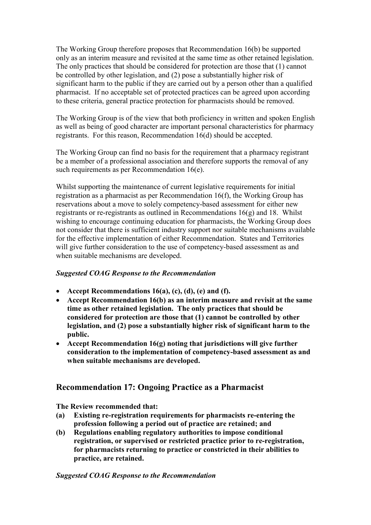The Working Group therefore proposes that Recommendation 16(b) be supported only as an interim measure and revisited at the same time as other retained legislation. The only practices that should be considered for protection are those that (1) cannot be controlled by other legislation, and (2) pose a substantially higher risk of significant harm to the public if they are carried out by a person other than a qualified pharmacist. If no acceptable set of protected practices can be agreed upon according to these criteria, general practice protection for pharmacists should be removed.

The Working Group is of the view that both proficiency in written and spoken English as well as being of good character are important personal characteristics for pharmacy registrants. For this reason, Recommendation 16(d) should be accepted.

The Working Group can find no basis for the requirement that a pharmacy registrant be a member of a professional association and therefore supports the removal of any such requirements as per Recommendation 16(e).

Whilst supporting the maintenance of current legislative requirements for initial registration as a pharmacist as per Recommendation 16(f), the Working Group has reservations about a move to solely competency-based assessment for either new registrants or re-registrants as outlined in Recommendations 16(g) and 18. Whilst wishing to encourage continuing education for pharmacists, the Working Group does not consider that there is sufficient industry support nor suitable mechanisms available for the effective implementation of either Recommendation. States and Territories will give further consideration to the use of competency-based assessment as and when suitable mechanisms are developed.

#### *Suggested COAG Response to the Recommendation*

- **Accept Recommendations 16(a), (c), (d), (e) and (f).**
- **Accept Recommendation 16(b) as an interim measure and revisit at the same time as other retained legislation. The only practices that should be considered for protection are those that (1) cannot be controlled by other legislation, and (2) pose a substantially higher risk of significant harm to the public.**
- **Accept Recommendation 16(g) noting that jurisdictions will give further consideration to the implementation of competency-based assessment as and when suitable mechanisms are developed.**

# **Recommendation 17: Ongoing Practice as a Pharmacist**

**The Review recommended that:**

- **(a) Existing re-registration requirements for pharmacists re-entering the profession following a period out of practice are retained; and**
- **(b) Regulations enabling regulatory authorities to impose conditional registration, or supervised or restricted practice prior to re-registration, for pharmacists returning to practice or constricted in their abilities to practice, are retained.**

#### *Suggested COAG Response to the Recommendation*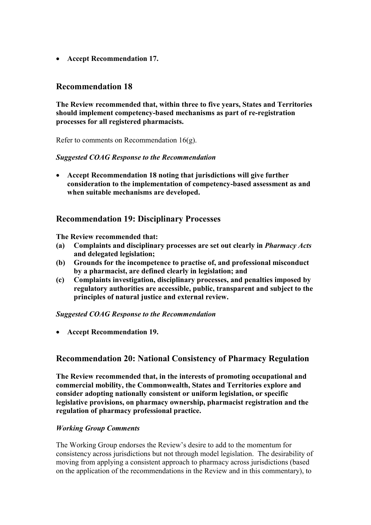**Accept Recommendation 17.**

# **Recommendation 18**

**The Review recommended that, within three to five years, States and Territories should implement competency-based mechanisms as part of re-registration processes for all registered pharmacists.**

Refer to comments on Recommendation 16(g).

#### *Suggested COAG Response to the Recommendation*

 **Accept Recommendation 18 noting that jurisdictions will give further consideration to the implementation of competency-based assessment as and when suitable mechanisms are developed.**

# **Recommendation 19: Disciplinary Processes**

**The Review recommended that:**

- **(a) Complaints and disciplinary processes are set out clearly in** *Pharmacy Acts* **and delegated legislation;**
- **(b) Grounds for the incompetence to practise of, and professional misconduct by a pharmacist, are defined clearly in legislation; and**
- **(c) Complaints investigation, disciplinary processes, and penalties imposed by regulatory authorities are accessible, public, transparent and subject to the principles of natural justice and external review.**

#### *Suggested COAG Response to the Recommendation*

**Accept Recommendation 19.**

# **Recommendation 20: National Consistency of Pharmacy Regulation**

**The Review recommended that, in the interests of promoting occupational and commercial mobility, the Commonwealth, States and Territories explore and consider adopting nationally consistent or uniform legislation, or specific legislative provisions, on pharmacy ownership, pharmacist registration and the regulation of pharmacy professional practice.**

#### *Working Group Comments*

The Working Group endorses the Review's desire to add to the momentum for consistency across jurisdictions but not through model legislation. The desirability of moving from applying a consistent approach to pharmacy across jurisdictions (based on the application of the recommendations in the Review and in this commentary), to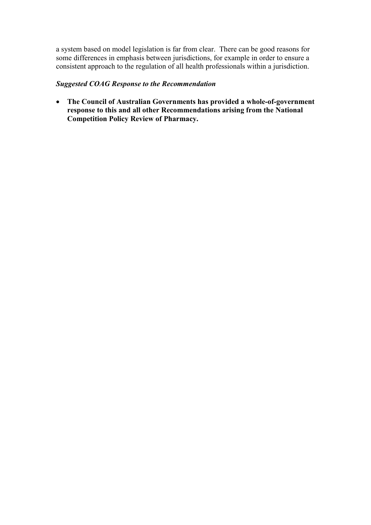a system based on model legislation is far from clear. There can be good reasons for some differences in emphasis between jurisdictions, for example in order to ensure a consistent approach to the regulation of all health professionals within a jurisdiction.

#### *Suggested COAG Response to the Recommendation*

 **The Council of Australian Governments has provided a whole-of-government response to this and all other Recommendations arising from the National Competition Policy Review of Pharmacy.**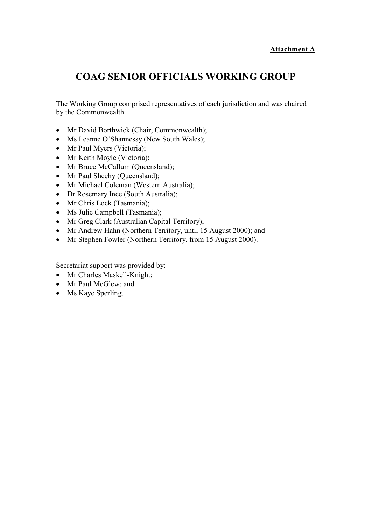#### **Attachment A**

# **COAG SENIOR OFFICIALS WORKING GROUP**

The Working Group comprised representatives of each jurisdiction and was chaired by the Commonwealth.

- Mr David Borthwick (Chair, Commonwealth);
- Ms Leanne O'Shannessy (New South Wales);
- Mr Paul Myers (Victoria);
- Mr Keith Moyle (Victoria);
- Mr Bruce McCallum (Queensland);
- Mr Paul Sheehy (Queensland);
- Mr Michael Coleman (Western Australia);
- Dr Rosemary Ince (South Australia);
- Mr Chris Lock (Tasmania);
- Ms Julie Campbell (Tasmania);
- Mr Greg Clark (Australian Capital Territory);
- Mr Andrew Hahn (Northern Territory, until 15 August 2000); and
- Mr Stephen Fowler (Northern Territory, from 15 August 2000).

Secretariat support was provided by:

- Mr Charles Maskell-Knight;
- Mr Paul McGlew; and
- Ms Kaye Sperling.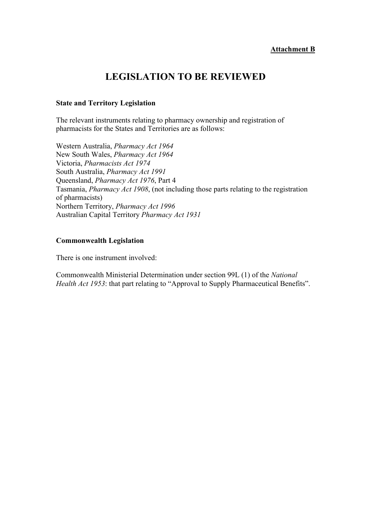#### **Attachment B**

# **LEGISLATION TO BE REVIEWED**

#### **State and Territory Legislation**

The relevant instruments relating to pharmacy ownership and registration of pharmacists for the States and Territories are as follows:

Western Australia, *Pharmacy Act 1964* New South Wales, *Pharmacy Act 1964* Victoria, *Pharmacists Act 1974* South Australia, *Pharmacy Act 1991* Queensland, *Pharmacy Act 1976*, Part 4 Tasmania, *Pharmacy Act 1908*, (not including those parts relating to the registration of pharmacists) Northern Territory, *Pharmacy Act 1996* Australian Capital Territory *Pharmacy Act 1931*

#### **Commonwealth Legislation**

There is one instrument involved:

Commonwealth Ministerial Determination under section 99L (1) of the *National Health Act 1953*: that part relating to "Approval to Supply Pharmaceutical Benefits".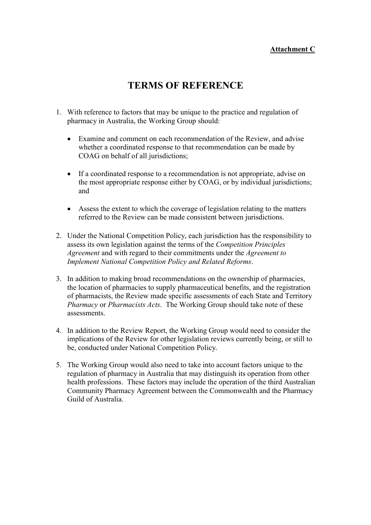# **Attachment C**

# **TERMS OF REFERENCE**

- 1. With reference to factors that may be unique to the practice and regulation of pharmacy in Australia, the Working Group should:
	- Examine and comment on each recommendation of the Review, and advise whether a coordinated response to that recommendation can be made by COAG on behalf of all jurisdictions;
	- If a coordinated response to a recommendation is not appropriate, advise on the most appropriate response either by COAG, or by individual jurisdictions; and
	- Assess the extent to which the coverage of legislation relating to the matters referred to the Review can be made consistent between jurisdictions.
- 2. Under the National Competition Policy, each jurisdiction has the responsibility to assess its own legislation against the terms of the *Competition Principles Agreement* and with regard to their commitments under the *Agreement to Implement National Competition Policy and Related Reforms*.
- 3. In addition to making broad recommendations on the ownership of pharmacies, the location of pharmacies to supply pharmaceutical benefits, and the registration of pharmacists, the Review made specific assessments of each State and Territory *Pharmacy* or *Pharmacists Acts*. The Working Group should take note of these assessments.
- 4. In addition to the Review Report, the Working Group would need to consider the implications of the Review for other legislation reviews currently being, or still to be, conducted under National Competition Policy.
- 5. The Working Group would also need to take into account factors unique to the regulation of pharmacy in Australia that may distinguish its operation from other health professions. These factors may include the operation of the third Australian Community Pharmacy Agreement between the Commonwealth and the Pharmacy Guild of Australia.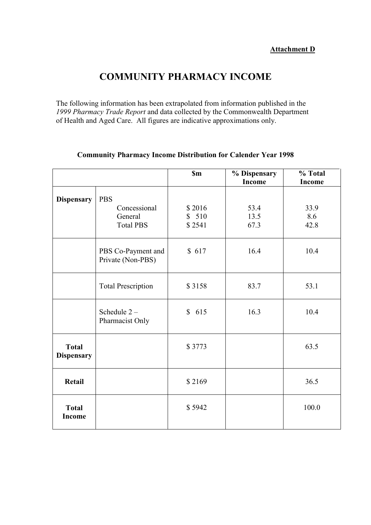# **COMMUNITY PHARMACY INCOME**

The following information has been extrapolated from information published in the *1999 Pharmacy Trade Report* and data collected by the Commonwealth Department of Health and Aged Care. All figures are indicative approximations only.

|                                   |                                         | <b>Sm</b> | % Dispensary<br><b>Income</b> | % Total<br><b>Income</b> |
|-----------------------------------|-----------------------------------------|-----------|-------------------------------|--------------------------|
| <b>Dispensary</b>                 | <b>PBS</b>                              |           |                               |                          |
|                                   | Concessional                            | \$2016    | 53.4                          | 33.9                     |
|                                   | General                                 | \$510     | 13.5                          | 8.6                      |
|                                   | <b>Total PBS</b>                        | \$2541    | 67.3                          | 42.8                     |
|                                   | PBS Co-Payment and<br>Private (Non-PBS) | \$617     | 16.4                          | 10.4                     |
|                                   | <b>Total Prescription</b>               | \$3158    | 83.7                          | 53.1                     |
|                                   | Schedule $2-$<br>Pharmacist Only        | \$615     | 16.3                          | 10.4                     |
| <b>Total</b><br><b>Dispensary</b> |                                         | \$3773    |                               | 63.5                     |
| <b>Retail</b>                     |                                         | \$2169    |                               | 36.5                     |
| <b>Total</b><br><b>Income</b>     |                                         | \$5942    |                               | 100.0                    |

# **Community Pharmacy Income Distribution for Calender Year 1998**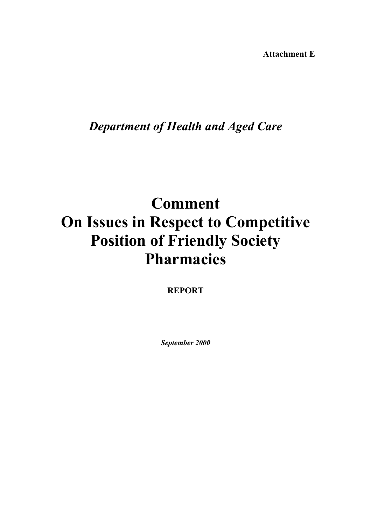**Attachment E**

# *Department of Health and Aged Care*

# **Comment On Issues in Respect to Competitive Position of Friendly Society Pharmacies**

**REPORT**

*September 2000*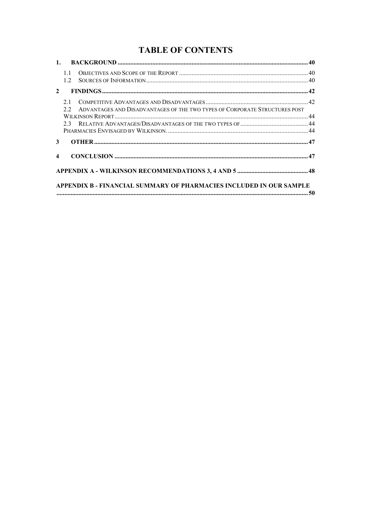# **TABLE OF CONTENTS**

|                  | 11<br>12                                                                                |  |
|------------------|-----------------------------------------------------------------------------------------|--|
| $2^{\circ}$      |                                                                                         |  |
|                  | 2.1<br>ADVANTAGES AND DISADVANTAGES OF THE TWO TYPES OF CORPORATE STRUCTURES POST<br>22 |  |
| 3 <sup>1</sup>   |                                                                                         |  |
| $\boldsymbol{4}$ |                                                                                         |  |
|                  |                                                                                         |  |
|                  | APPENDIX B - FINANCIAL SUMMARY OF PHARMACIES INCLUDED IN OUR SAMPLE                     |  |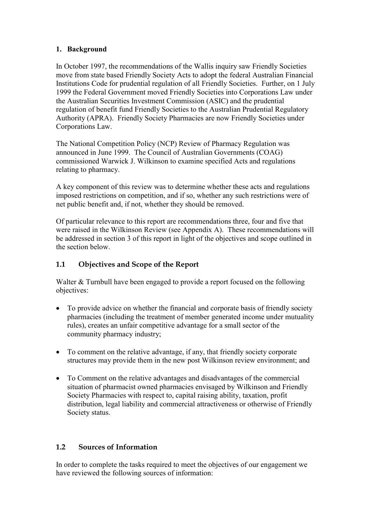## <span id="page-39-0"></span>**1. Background**

In October 1997, the recommendations of the Wallis inquiry saw Friendly Societies move from state based Friendly Society Acts to adopt the federal Australian Financial Institutions Code for prudential regulation of all Friendly Societies. Further, on 1 July 1999 the Federal Government moved Friendly Societies into Corporations Law under the Australian Securities Investment Commission (ASIC) and the prudential regulation of benefit fund Friendly Societies to the Australian Prudential Regulatory Authority (APRA). Friendly Society Pharmacies are now Friendly Societies under Corporations Law.

The National Competition Policy (NCP) Review of Pharmacy Regulation was announced in June 1999. The Council of Australian Governments (COAG) commissioned Warwick J. Wilkinson to examine specified Acts and regulations relating to pharmacy.

A key component of this review was to determine whether these acts and regulations imposed restrictions on competition, and if so, whether any such restrictions were of net public benefit and, if not, whether they should be removed.

Of particular relevance to this report are recommendations three, four and five that were raised in the Wilkinson Review (see Appendix A). These recommendations will be addressed in section 3 of this report in light of the objectives and scope outlined in the section below.

# <span id="page-39-1"></span>**1.1 Objectives and Scope of the Report**

Walter & Turnbull have been engaged to provide a report focused on the following objectives:

- To provide advice on whether the financial and corporate basis of friendly society pharmacies (including the treatment of member generated income under mutuality rules), creates an unfair competitive advantage for a small sector of the community pharmacy industry;
- To comment on the relative advantage, if any, that friendly society corporate structures may provide them in the new post Wilkinson review environment; and
- To Comment on the relative advantages and disadvantages of the commercial situation of pharmacist owned pharmacies envisaged by Wilkinson and Friendly Society Pharmacies with respect to, capital raising ability, taxation, profit distribution, legal liability and commercial attractiveness or otherwise of Friendly Society status.

# <span id="page-39-2"></span>**1.2 Sources of Information**

In order to complete the tasks required to meet the objectives of our engagement we have reviewed the following sources of information: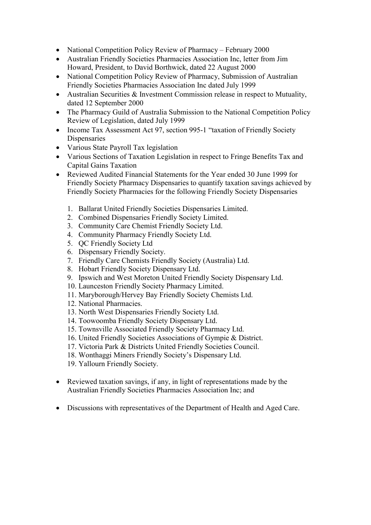- National Competition Policy Review of Pharmacy February 2000
- Australian Friendly Societies Pharmacies Association Inc, letter from Jim Howard, President, to David Borthwick, dated 22 August 2000
- National Competition Policy Review of Pharmacy, Submission of Australian Friendly Societies Pharmacies Association Inc dated July 1999
- Australian Securities & Investment Commission release in respect to Mutuality, dated 12 September 2000
- The Pharmacy Guild of Australia Submission to the National Competition Policy Review of Legislation, dated July 1999
- Income Tax Assessment Act 97, section 995-1 "taxation of Friendly Society **Dispensaries**
- Various State Payroll Tax legislation
- Various Sections of Taxation Legislation in respect to Fringe Benefits Tax and Capital Gains Taxation
- Reviewed Audited Financial Statements for the Year ended 30 June 1999 for Friendly Society Pharmacy Dispensaries to quantify taxation savings achieved by Friendly Society Pharmacies for the following Friendly Society Dispensaries
	- 1. Ballarat United Friendly Societies Dispensaries Limited.
	- 2. Combined Dispensaries Friendly Society Limited.
	- 3. Community Care Chemist Friendly Society Ltd.
	- 4. Community Pharmacy Friendly Society Ltd.
	- 5. QC Friendly Society Ltd
	- 6. Dispensary Friendly Society.
	- 7. Friendly Care Chemists Friendly Society (Australia) Ltd.
	- 8. Hobart Friendly Society Dispensary Ltd.
	- 9. Ipswich and West Moreton United Friendly Society Dispensary Ltd.
	- 10. Launceston Friendly Society Pharmacy Limited.
	- 11. Maryborough/Hervey Bay Friendly Society Chemists Ltd.
	- 12. National Pharmacies.
	- 13. North West Dispensaries Friendly Society Ltd.
	- 14. Toowoomba Friendly Society Dispensary Ltd.
	- 15. Townsville Associated Friendly Society Pharmacy Ltd.
	- 16. United Friendly Societies Associations of Gympie & District.
	- 17. Victoria Park & Districts United Friendly Societies Council.
	- 18. Wonthaggi Miners Friendly Society's Dispensary Ltd.
	- 19. Yallourn Friendly Society.
- Reviewed taxation savings, if any, in light of representations made by the Australian Friendly Societies Pharmacies Association Inc; and
- Discussions with representatives of the Department of Health and Aged Care.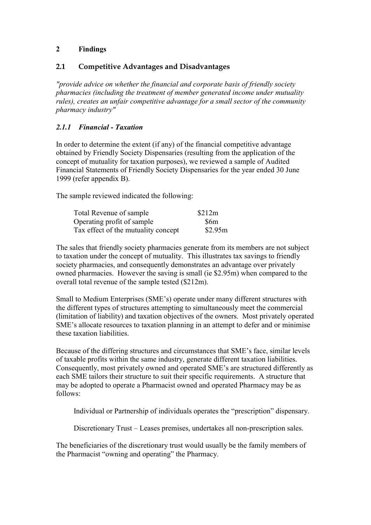## <span id="page-41-0"></span>**2 Findings**

#### <span id="page-41-1"></span>**2.1 Competitive Advantages and Disadvantages**

*"provide advice on whether the financial and corporate basis of friendly society pharmacies (including the treatment of member generated income under mutuality rules), creates an unfair competitive advantage for a small sector of the community pharmacy industry"*

## *2.1.1 Financial - Taxation*

In order to determine the extent (if any) of the financial competitive advantage obtained by Friendly Society Dispensaries (resulting from the application of the concept of mutuality for taxation purposes), we reviewed a sample of Audited Financial Statements of Friendly Society Dispensaries for the year ended 30 June 1999 (refer appendix B).

The sample reviewed indicated the following:

| Total Revenue of sample             | \$212m  |
|-------------------------------------|---------|
| Operating profit of sample          | \$6m    |
| Tax effect of the mutuality concept | \$2.95m |

The sales that friendly society pharmacies generate from its members are not subject to taxation under the concept of mutuality. This illustrates tax savings to friendly society pharmacies, and consequently demonstrates an advantage over privately owned pharmacies. However the saving is small (ie \$2.95m) when compared to the overall total revenue of the sample tested (\$212m).

Small to Medium Enterprises (SME's) operate under many different structures with the different types of structures attempting to simultaneously meet the commercial (limitation of liability) and taxation objectives of the owners. Most privately operated SME's allocate resources to taxation planning in an attempt to defer and or minimise these taxation liabilities.

Because of the differing structures and circumstances that SME's face, similar levels of taxable profits within the same industry, generate different taxation liabilities. Consequently, most privately owned and operated SME's are structured differently as each SME tailors their structure to suit their specific requirements. A structure that may be adopted to operate a Pharmacist owned and operated Pharmacy may be as follows:

Individual or Partnership of individuals operates the "prescription" dispensary.

Discretionary Trust – Leases premises, undertakes all non-prescription sales.

The beneficiaries of the discretionary trust would usually be the family members of the Pharmacist "owning and operating" the Pharmacy.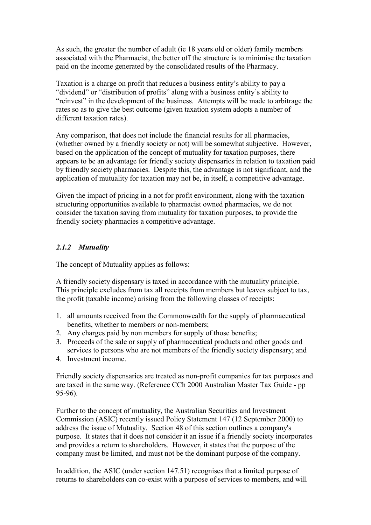As such, the greater the number of adult (ie 18 years old or older) family members associated with the Pharmacist, the better off the structure is to minimise the taxation paid on the income generated by the consolidated results of the Pharmacy.

Taxation is a charge on profit that reduces a business entity's ability to pay a "dividend" or "distribution of profits" along with a business entity's ability to "reinvest" in the development of the business. Attempts will be made to arbitrage the rates so as to give the best outcome (given taxation system adopts a number of different taxation rates).

Any comparison, that does not include the financial results for all pharmacies, (whether owned by a friendly society or not) will be somewhat subjective. However, based on the application of the concept of mutuality for taxation purposes, there appears to be an advantage for friendly society dispensaries in relation to taxation paid by friendly society pharmacies. Despite this, the advantage is not significant, and the application of mutuality for taxation may not be, in itself, a competitive advantage.

Given the impact of pricing in a not for profit environment, along with the taxation structuring opportunities available to pharmacist owned pharmacies, we do not consider the taxation saving from mutuality for taxation purposes, to provide the friendly society pharmacies a competitive advantage.

#### *2.1.2 Mutuality*

The concept of Mutuality applies as follows:

A friendly society dispensary is taxed in accordance with the mutuality principle. This principle excludes from tax all receipts from members but leaves subject to tax, the profit (taxable income) arising from the following classes of receipts:

- 1. all amounts received from the Commonwealth for the supply of pharmaceutical benefits, whether to members or non-members;
- 2. Any charges paid by non members for supply of those benefits;
- 3. Proceeds of the sale or supply of pharmaceutical products and other goods and services to persons who are not members of the friendly society dispensary; and
- 4. Investment income.

Friendly society dispensaries are treated as non-profit companies for tax purposes and are taxed in the same way. (Reference CCh 2000 Australian Master Tax Guide - pp 95-96).

Further to the concept of mutuality, the Australian Securities and Investment Commission (ASIC) recently issued Policy Statement 147 (12 September 2000) to address the issue of Mutuality. Section 48 of this section outlines a company's purpose. It states that it does not consider it an issue if a friendly society incorporates and provides a return to shareholders. However, it states that the purpose of the company must be limited, and must not be the dominant purpose of the company.

In addition, the ASIC (under section 147.51) recognises that a limited purpose of returns to shareholders can co-exist with a purpose of services to members, and will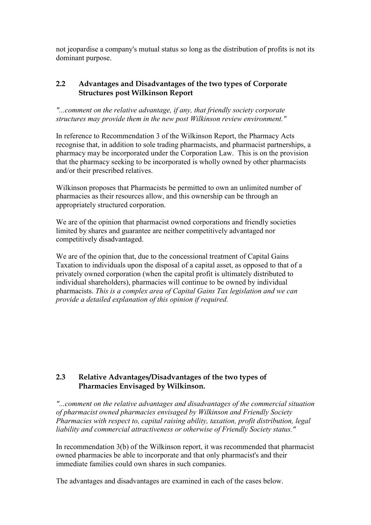not jeopardise a company's mutual status so long as the distribution of profits is not its dominant purpose.

#### <span id="page-43-0"></span>**2.2 Advantages and Disadvantages of the two types of Corporate Structures post Wilkinson Report**

*"...comment on the relative advantage, if any, that friendly society corporate structures may provide them in the new post Wilkinson review environment."*

In reference to Recommendation 3 of the Wilkinson Report, the Pharmacy Acts recognise that, in addition to sole trading pharmacists, and pharmacist partnerships, a pharmacy may be incorporated under the Corporation Law. This is on the provision that the pharmacy seeking to be incorporated is wholly owned by other pharmacists and/or their prescribed relatives.

Wilkinson proposes that Pharmacists be permitted to own an unlimited number of pharmacies as their resources allow, and this ownership can be through an appropriately structured corporation.

We are of the opinion that pharmacist owned corporations and friendly societies limited by shares and guarantee are neither competitively advantaged nor competitively disadvantaged.

We are of the opinion that, due to the concessional treatment of Capital Gains Taxation to individuals upon the disposal of a capital asset, as opposed to that of a privately owned corporation (when the capital profit is ultimately distributed to individual shareholders), pharmacies will continue to be owned by individual pharmacists. *This is a complex area of Capital Gains Tax legislation and we can provide a detailed explanation of this opinion if required.*

#### <span id="page-43-2"></span><span id="page-43-1"></span>**2.3 Relative Advantages/Disadvantages of the two types of Pharmacies Envisaged by Wilkinson.**

*"...comment on the relative advantages and disadvantages of the commercial situation of pharmacist owned pharmacies envisaged by Wilkinson and Friendly Society Pharmacies with respect to, capital raising ability, taxation, profit distribution, legal liability and commercial attractiveness or otherwise of Friendly Society status."*

In recommendation 3(b) of the Wilkinson report, it was recommended that pharmacist owned pharmacies be able to incorporate and that only pharmacist's and their immediate families could own shares in such companies.

The advantages and disadvantages are examined in each of the cases below.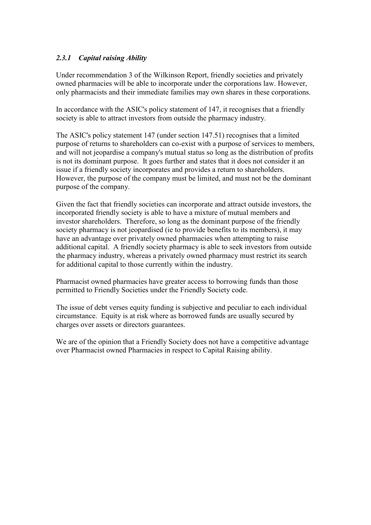## *2.3.1 Capital raising Ability*

Under recommendation 3 of the Wilkinson Report, friendly societies and privately owned pharmacies will be able to incorporate under the corporations law. However, only pharmacists and their immediate families may own shares in these corporations.

In accordance with the ASIC's policy statement of 147, it recognises that a friendly society is able to attract investors from outside the pharmacy industry.

The ASIC's policy statement 147 (under section 147.51) recognises that a limited purpose of returns to shareholders can co-exist with a purpose of services to members, and will not jeopardise a company's mutual status so long as the distribution of profits is not its dominant purpose. It goes further and states that it does not consider it an issue if a friendly society incorporates and provides a return to shareholders. However, the purpose of the company must be limited, and must not be the dominant purpose of the company.

Given the fact that friendly societies can incorporate and attract outside investors, the incorporated friendly society is able to have a mixture of mutual members and investor shareholders. Therefore, so long as the dominant purpose of the friendly society pharmacy is not jeopardised (ie to provide benefits to its members), it may have an advantage over privately owned pharmacies when attempting to raise additional capital. A friendly society pharmacy is able to seek investors from outside the pharmacy industry, whereas a privately owned pharmacy must restrict its search for additional capital to those currently within the industry.

Pharmacist owned pharmacies have greater access to borrowing funds than those permitted to Friendly Societies under the Friendly Society code.

The issue of debt verses equity funding is subjective and peculiar to each individual circumstance. Equity is at risk where as borrowed funds are usually secured by charges over assets or directors guarantees.

We are of the opinion that a Friendly Society does not have a competitive advantage over Pharmacist owned Pharmacies in respect to Capital Raising ability.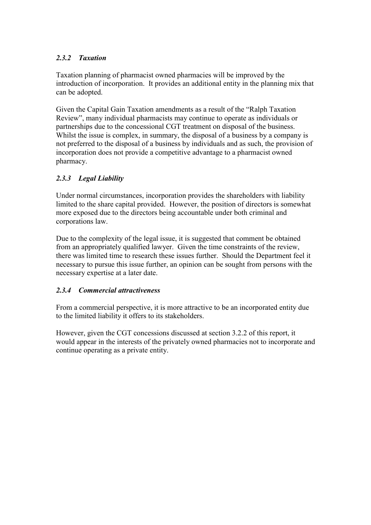# *2.3.2 Taxation*

Taxation planning of pharmacist owned pharmacies will be improved by the introduction of incorporation. It provides an additional entity in the planning mix that can be adopted.

Given the Capital Gain Taxation amendments as a result of the "Ralph Taxation Review", many individual pharmacists may continue to operate as individuals or partnerships due to the concessional CGT treatment on disposal of the business. Whilst the issue is complex, in summary, the disposal of a business by a company is not preferred to the disposal of a business by individuals and as such, the provision of incorporation does not provide a competitive advantage to a pharmacist owned pharmacy.

# *2.3.3 Legal Liability*

Under normal circumstances, incorporation provides the shareholders with liability limited to the share capital provided. However, the position of directors is somewhat more exposed due to the directors being accountable under both criminal and corporations law.

Due to the complexity of the legal issue, it is suggested that comment be obtained from an appropriately qualified lawyer. Given the time constraints of the review, there was limited time to research these issues further. Should the Department feel it necessary to pursue this issue further, an opinion can be sought from persons with the necessary expertise at a later date.

# *2.3.4 Commercial attractiveness*

From a commercial perspective, it is more attractive to be an incorporated entity due to the limited liability it offers to its stakeholders.

However, given the CGT concessions discussed at section 3.2.2 of this report, it would appear in the interests of the privately owned pharmacies not to incorporate and continue operating as a private entity.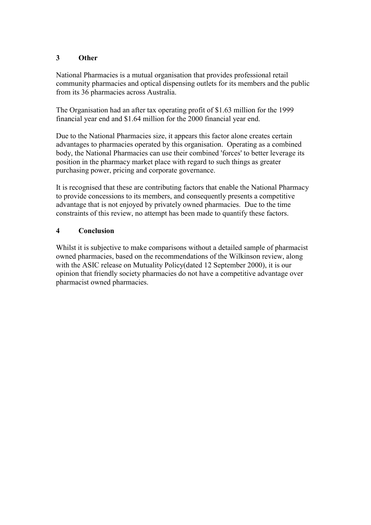#### <span id="page-46-0"></span>**3 Other**

National Pharmacies is a mutual organisation that provides professional retail community pharmacies and optical dispensing outlets for its members and the public from its 36 pharmacies across Australia.

The Organisation had an after tax operating profit of \$1.63 million for the 1999 financial year end and \$1.64 million for the 2000 financial year end.

Due to the National Pharmacies size, it appears this factor alone creates certain advantages to pharmacies operated by this organisation. Operating as a combined body, the National Pharmacies can use their combined 'forces' to better leverage its position in the pharmacy market place with regard to such things as greater purchasing power, pricing and corporate governance.

It is recognised that these are contributing factors that enable the National Pharmacy to provide concessions to its members, and consequently presents a competitive advantage that is not enjoyed by privately owned pharmacies. Due to the time constraints of this review, no attempt has been made to quantify these factors.

#### <span id="page-46-1"></span>**4 Conclusion**

Whilst it is subjective to make comparisons without a detailed sample of pharmacist owned pharmacies, based on the recommendations of the Wilkinson review, along with the ASIC release on Mutuality Policy(dated 12 September 2000), it is our opinion that friendly society pharmacies do not have a competitive advantage over pharmacist owned pharmacies.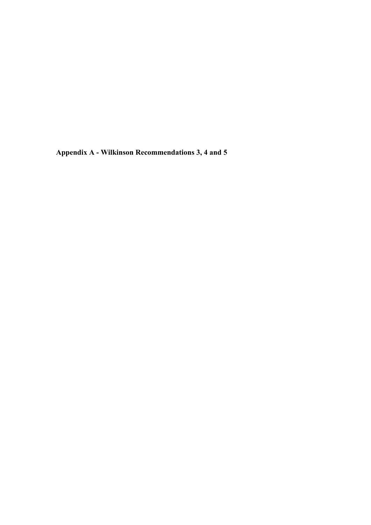<span id="page-47-0"></span>**Appendix A - Wilkinson Recommendations 3, 4 and 5**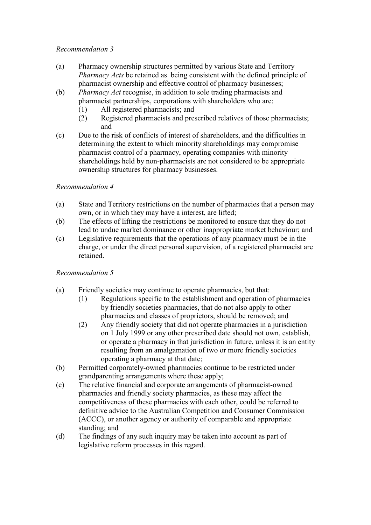#### *Recommendation 3*

- (a) Pharmacy ownership structures permitted by various State and Territory *Pharmacy Acts* be retained as being consistent with the defined principle of pharmacist ownership and effective control of pharmacy businesses;
- (b) *Pharmacy Act* recognise, in addition to sole trading pharmacists and pharmacist partnerships, corporations with shareholders who are:
	- (1) All registered pharmacists; and
	- (2) Registered pharmacists and prescribed relatives of those pharmacists; and
- (c) Due to the risk of conflicts of interest of shareholders, and the difficulties in determining the extent to which minority shareholdings may compromise pharmacist control of a pharmacy, operating companies with minority shareholdings held by non-pharmacists are not considered to be appropriate ownership structures for pharmacy businesses.

#### *Recommendation 4*

- (a) State and Territory restrictions on the number of pharmacies that a person may own, or in which they may have a interest, are lifted;
- (b) The effects of lifting the restrictions be monitored to ensure that they do not lead to undue market dominance or other inappropriate market behaviour; and
- (c) Legislative requirements that the operations of any pharmacy must be in the charge, or under the direct personal supervision, of a registered pharmacist are retained.

#### *Recommendation 5*

- (a) Friendly societies may continue to operate pharmacies, but that:
	- (1) Regulations specific to the establishment and operation of pharmacies by friendly societies pharmacies, that do not also apply to other pharmacies and classes of proprietors, should be removed; and
	- (2) Any friendly society that did not operate pharmacies in a jurisdiction on 1 July 1999 or any other prescribed date should not own, establish, or operate a pharmacy in that jurisdiction in future, unless it is an entity resulting from an amalgamation of two or more friendly societies operating a pharmacy at that date;
- (b) Permitted corporately-owned pharmacies continue to be restricted under grandparenting arrangements where these apply;
- (c) The relative financial and corporate arrangements of pharmacist-owned pharmacies and friendly society pharmacies, as these may affect the competitiveness of these pharmacies with each other, could be referred to definitive advice to the Australian Competition and Consumer Commission (ACCC), or another agency or authority of comparable and appropriate standing; and
- (d) The findings of any such inquiry may be taken into account as part of legislative reform processes in this regard.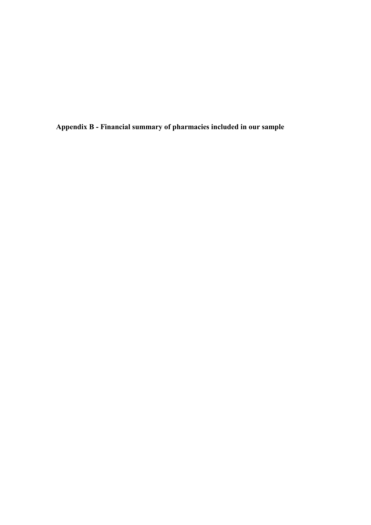<span id="page-49-0"></span>**Appendix B - Financial summary of pharmacies included in our sample**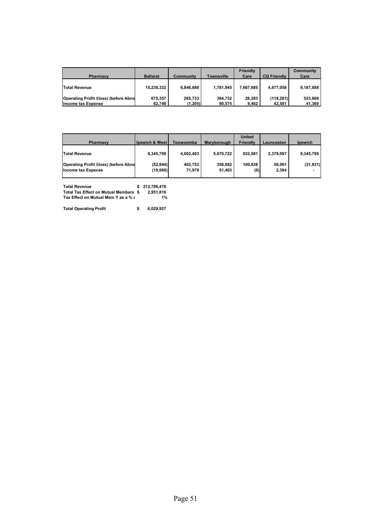| <b>Pharmacy</b>                       | <b>Ballarat</b> | Community | <b>Townsville</b> | <b>Friendly</b><br>Care | <b>CQ Friendly</b> | Community<br>Care |
|---------------------------------------|-----------------|-----------|-------------------|-------------------------|--------------------|-------------------|
| <b>Total Revenue</b>                  | 15,238,332      | 6.846.886 | 1,781,945         | 7.667.685               | 4,877,058          | 9,187,888         |
| Operating Profit /(loss) (before Abno | 675,357         | 265.733   | 384.732           | 26.283                  | (118, 281)         | 523,868           |
| <b>Income tax Expense</b>             | 62.746          | (1,205)   | 90,575            | 9,462                   | 42,581             | 41,369            |

| <b>Pharmacy</b>                                                    | <b>Ipswich &amp; West</b> | Toowoomba         | Maryborough       | <b>United</b><br><b>Friendly</b> | Launceston      | <b>Ipswich</b> |
|--------------------------------------------------------------------|---------------------------|-------------------|-------------------|----------------------------------|-----------------|----------------|
| <b>Total Revenue</b>                                               | 9.345.799                 | 4,002,403         | 5,670,722         | 932.981                          | 2.379.097       | 9,345,799      |
| Operating Profit /(loss) (before Abno<br><b>Income tax Expense</b> | (52, 944)<br>(19,060)     | 402,753<br>71.979 | 358.692<br>51,403 | 100.838<br>(0)                   | 56,061<br>2,394 | (31, 831)      |

| <b>Total Revenue</b>                  | \$212.786.478 |
|---------------------------------------|---------------|
| Total Tax Effect on Mutual Members \$ | 2.951.816     |
| Tax Effect on Mutual Mem Y as a % o   | 1%            |

**Total Operating Profit 6,029,927 \$**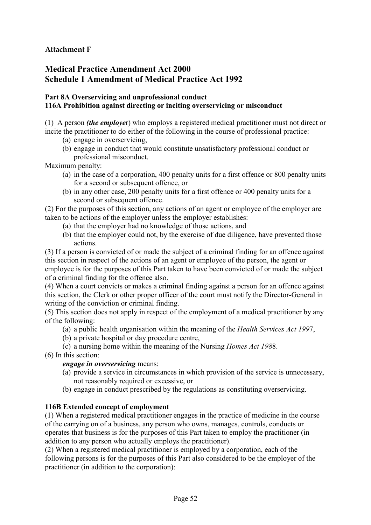# **Attachment F**

# **Medical Practice Amendment Act 2000 Schedule 1 Amendment of Medical Practice Act 1992**

#### **Part 8A Overservicing and unprofessional conduct 116A Prohibition against directing or inciting overservicing or misconduct**

(1) A person *(the employe*r) who employs a registered medical practitioner must not direct or incite the practitioner to do either of the following in the course of professional practice:

- (a) engage in overservicing,
- (b) engage in conduct that would constitute unsatisfactory professional conduct or professional misconduct.

Maximum penalty:

- (a) in the case of a corporation, 400 penalty units for a first offence or 800 penalty units for a second or subsequent offence, or
- (b) in any other case, 200 penalty units for a first offence or 400 penalty units for a second or subsequent offence.

(2) For the purposes of this section, any actions of an agent or employee of the employer are taken to be actions of the employer unless the employer establishes:

- (a) that the employer had no knowledge of those actions, and
- (b) that the employer could not, by the exercise of due diligence, have prevented those actions.

(3) If a person is convicted of or made the subject of a criminal finding for an offence against this section in respect of the actions of an agent or employee of the person, the agent or

employee is for the purposes of this Part taken to have been convicted of or made the subject of a criminal finding for the offence also.

(4) When a court convicts or makes a criminal finding against a person for an offence against this section, the Clerk or other proper officer of the court must notify the Director-General in writing of the conviction or criminal finding.

(5) This section does not apply in respect of the employment of a medical practitioner by any of the following:

- (a) a public health organisation within the meaning of the *Health Services Act 199*7,
- (b) a private hospital or day procedure centre,
- (c) a nursing home within the meaning of the Nursing *Homes Act 198*8.
- (6) In this section:

*engage in overservicing* means:

- (a) provide a service in circumstances in which provision of the service is unnecessary, not reasonably required or excessive, or
- (b) engage in conduct prescribed by the regulations as constituting overservicing.

#### **116B Extended concept of employment**

(1) When a registered medical practitioner engages in the practice of medicine in the course of the carrying on of a business, any person who owns, manages, controls, conducts or operates that business is for the purposes of this Part taken to employ the practitioner (in addition to any person who actually employs the practitioner).

(2) When a registered medical practitioner is employed by a corporation, each of the following persons is for the purposes of this Part also considered to be the employer of the practitioner (in addition to the corporation):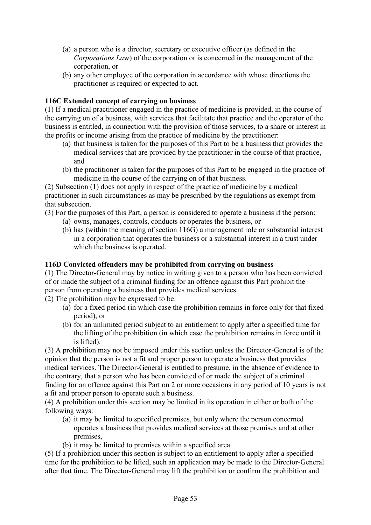- (a) a person who is a director, secretary or executive officer (as defined in the *Corporations La*w) of the corporation or is concerned in the management of the corporation, or
- (b) any other employee of the corporation in accordance with whose directions the practitioner is required or expected to act.

#### **116C Extended concept of carrying on business**

(1) If a medical practitioner engaged in the practice of medicine is provided, in the course of the carrying on of a business, with services that facilitate that practice and the operator of the business is entitled, in connection with the provision of those services, to a share or interest in the profits or income arising from the practice of medicine by the practitioner:

- (a) that business is taken for the purposes of this Part to be a business that provides the medical services that are provided by the practitioner in the course of that practice, and
- (b) the practitioner is taken for the purposes of this Part to be engaged in the practice of medicine in the course of the carrying on of that business.

(2) Subsection (1) does not apply in respect of the practice of medicine by a medical practitioner in such circumstances as may be prescribed by the regulations as exempt from that subsection.

(3) For the purposes of this Part, a person is considered to operate a business if the person:

- (a) owns, manages, controls, conducts or operates the business, or
- (b) has (within the meaning of section 116G) a management role or substantial interest in a corporation that operates the business or a substantial interest in a trust under which the business is operated.

#### **116D Convicted offenders may be prohibited from carrying on business**

(1) The Director-General may by notice in writing given to a person who has been convicted of or made the subject of a criminal finding for an offence against this Part prohibit the person from operating a business that provides medical services.

(2) The prohibition may be expressed to be:

- (a) for a fixed period (in which case the prohibition remains in force only for that fixed period), or
- (b) for an unlimited period subject to an entitlement to apply after a specified time for the lifting of the prohibition (in which case the prohibition remains in force until it is lifted).

(3) A prohibition may not be imposed under this section unless the Director-General is of the opinion that the person is not a fit and proper person to operate a business that provides medical services. The Director-General is entitled to presume, in the absence of evidence to the contrary, that a person who has been convicted of or made the subject of a criminal finding for an offence against this Part on 2 or more occasions in any period of 10 years is not a fit and proper person to operate such a business.

(4) A prohibition under this section may be limited in its operation in either or both of the following ways:

- (a) it may be limited to specified premises, but only where the person concerned operates a business that provides medical services at those premises and at other premises,
- (b) it may be limited to premises within a specified area.

(5) If a prohibition under this section is subject to an entitlement to apply after a specified time for the prohibition to be lifted, such an application may be made to the Director-General after that time. The Director-General may lift the prohibition or confirm the prohibition and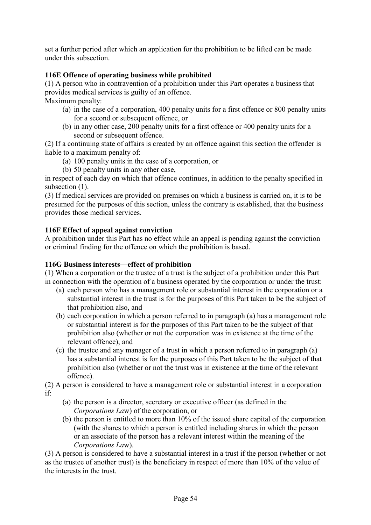set a further period after which an application for the prohibition to be lifted can be made under this subsection.

## **116E Offence of operating business while prohibited**

(1) A person who in contravention of a prohibition under this Part operates a business that provides medical services is guilty of an offence.

Maximum penalty:

- (a) in the case of a corporation, 400 penalty units for a first offence or 800 penalty units for a second or subsequent offence, or
- (b) in any other case, 200 penalty units for a first offence or 400 penalty units for a second or subsequent offence.

(2) If a continuing state of affairs is created by an offence against this section the offender is liable to a maximum penalty of:

- (a) 100 penalty units in the case of a corporation, or
- (b) 50 penalty units in any other case,

in respect of each day on which that offence continues, in addition to the penalty specified in subsection  $(1)$ .

(3) If medical services are provided on premises on which a business is carried on, it is to be presumed for the purposes of this section, unless the contrary is established, that the business provides those medical services.

#### **116F Effect of appeal against conviction**

A prohibition under this Part has no effect while an appeal is pending against the conviction or criminal finding for the offence on which the prohibition is based.

#### **116G Business interests—effect of prohibition**

(1) When a corporation or the trustee of a trust is the subject of a prohibition under this Part in connection with the operation of a business operated by the corporation or under the trust:

- (a) each person who has a management role or substantial interest in the corporation or a substantial interest in the trust is for the purposes of this Part taken to be the subject of that prohibition also, and
- (b) each corporation in which a person referred to in paragraph (a) has a management role or substantial interest is for the purposes of this Part taken to be the subject of that prohibition also (whether or not the corporation was in existence at the time of the relevant offence), and
- (c) the trustee and any manager of a trust in which a person referred to in paragraph (a) has a substantial interest is for the purposes of this Part taken to be the subject of that prohibition also (whether or not the trust was in existence at the time of the relevant offence).

(2) A person is considered to have a management role or substantial interest in a corporation if:

- (a) the person is a director, secretary or executive officer (as defined in the *Corporations La*w) of the corporation, or
- (b) the person is entitled to more than 10% of the issued share capital of the corporation (with the shares to which a person is entitled including shares in which the person or an associate of the person has a relevant interest within the meaning of the *Corporations La*w).

(3) A person is considered to have a substantial interest in a trust if the person (whether or not as the trustee of another trust) is the beneficiary in respect of more than 10% of the value of the interests in the trust.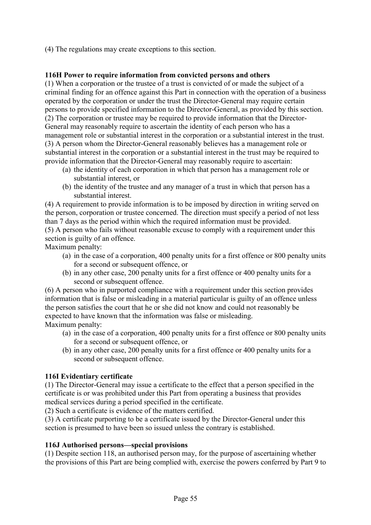(4) The regulations may create exceptions to this section.

#### **116H Power to require information from convicted persons and others**

(1) When a corporation or the trustee of a trust is convicted of or made the subject of a criminal finding for an offence against this Part in connection with the operation of a business operated by the corporation or under the trust the Director-General may require certain persons to provide specified information to the Director-General, as provided by this section. (2) The corporation or trustee may be required to provide information that the Director-General may reasonably require to ascertain the identity of each person who has a management role or substantial interest in the corporation or a substantial interest in the trust. (3) A person whom the Director-General reasonably believes has a management role or substantial interest in the corporation or a substantial interest in the trust may be required to provide information that the Director-General may reasonably require to ascertain:

- (a) the identity of each corporation in which that person has a management role or substantial interest, or
- (b) the identity of the trustee and any manager of a trust in which that person has a substantial interest.

(4) A requirement to provide information is to be imposed by direction in writing served on the person, corporation or trustee concerned. The direction must specify a period of not less than 7 days as the period within which the required information must be provided. (5) A person who fails without reasonable excuse to comply with a requirement under this section is guilty of an offence. Maximum penalty:

- (a) in the case of a corporation, 400 penalty units for a first offence or 800 penalty units for a second or subsequent offence, or
- (b) in any other case, 200 penalty units for a first offence or 400 penalty units for a second or subsequent offence.

(6) A person who in purported compliance with a requirement under this section provides information that is false or misleading in a material particular is guilty of an offence unless the person satisfies the court that he or she did not know and could not reasonably be expected to have known that the information was false or misleading. Maximum penalty:

- (a) in the case of a corporation, 400 penalty units for a first offence or 800 penalty units for a second or subsequent offence, or
- (b) in any other case, 200 penalty units for a first offence or 400 penalty units for a second or subsequent offence.

#### **116I Evidentiary certificate**

(1) The Director-General may issue a certificate to the effect that a person specified in the certificate is or was prohibited under this Part from operating a business that provides medical services during a period specified in the certificate.

(2) Such a certificate is evidence of the matters certified.

(3) A certificate purporting to be a certificate issued by the Director-General under this section is presumed to have been so issued unless the contrary is established.

#### **116J Authorised persons—special provisions**

(1) Despite section 118, an authorised person may, for the purpose of ascertaining whether the provisions of this Part are being complied with, exercise the powers conferred by Part 9 to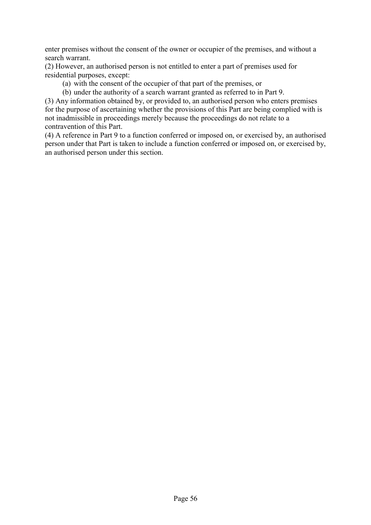enter premises without the consent of the owner or occupier of the premises, and without a search warrant.

(2) However, an authorised person is not entitled to enter a part of premises used for residential purposes, except:

(a) with the consent of the occupier of that part of the premises, or

(b) under the authority of a search warrant granted as referred to in Part 9.

(3) Any information obtained by, or provided to, an authorised person who enters premises for the purpose of ascertaining whether the provisions of this Part are being complied with is not inadmissible in proceedings merely because the proceedings do not relate to a contravention of this Part.

(4) A reference in Part 9 to a function conferred or imposed on, or exercised by, an authorised person under that Part is taken to include a function conferred or imposed on, or exercised by, an authorised person under this section.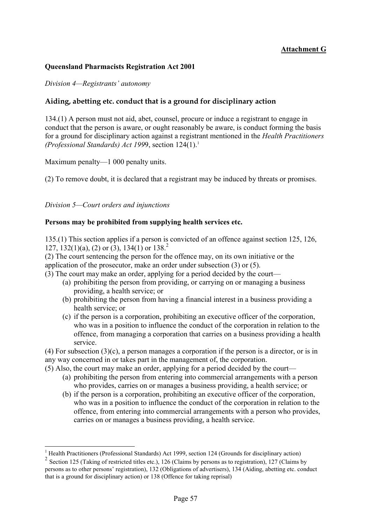## **Attachment G**

#### **Queensland Pharmacists Registration Act 2001**

*Division 4—Registrants' autonomy*

#### **Aiding, abetting etc. conduct that is a ground for disciplinary action**

134.(1) A person must not aid, abet, counsel, procure or induce a registrant to engage in conduct that the person is aware, or ought reasonably be aware, is conduct forming the basis for a ground for disciplinary action against a registrant mentioned in the *Health Practitioners (Professional Standards) Act 1999, section 124(1).*<sup>1</sup>

Maximum penalty—1 000 penalty units.

(2) To remove doubt, it is declared that a registrant may be induced by threats or promises.

*Division 5—Court orders and injunctions*

#### **Persons may be prohibited from supplying health services etc.**

135.(1) This section applies if a person is convicted of an offence against section 125, 126, 1[2](#page-56-1)7, 132(1)(a), (2) or (3), 134(1) or  $138<sup>2</sup>$ .

(2) The court sentencing the person for the offence may, on its own initiative or the application of the prosecutor, make an order under subsection (3) or (5).

(3) The court may make an order, applying for a period decided by the court—

- (a) prohibiting the person from providing, or carrying on or managing a business providing, a health service; or
- (b) prohibiting the person from having a financial interest in a business providing a health service; or
- (c) if the person is a corporation, prohibiting an executive officer of the corporation, who was in a position to influence the conduct of the corporation in relation to the offence, from managing a corporation that carries on a business providing a health service.

(4) For subsection (3)(c), a person manages a corporation if the person is a director, or is in any way concerned in or takes part in the management of, the corporation.

- (5) Also, the court may make an order, applying for a period decided by the court—
	- (a) prohibiting the person from entering into commercial arrangements with a person who provides, carries on or manages a business providing, a health service; or
	- (b) if the person is a corporation, prohibiting an executive officer of the corporation, who was in a position to influence the conduct of the corporation in relation to the offence, from entering into commercial arrangements with a person who provides, carries on or manages a business providing, a health service.

 1 Health Practitioners (Professional Standards) Act 1999, section 124 (Grounds for disciplinary action)

<span id="page-56-1"></span><span id="page-56-0"></span><sup>&</sup>lt;sup>2</sup> Section 125 (Taking of restricted titles etc.), 126 (Claims by persons as to registration), 127 (Claims by persons as to other persons' registration), 132 (Obligations of advertisers), 134 (Aiding, abetting etc. conduct that is a ground for disciplinary action) or 138 (Offence for taking reprisal)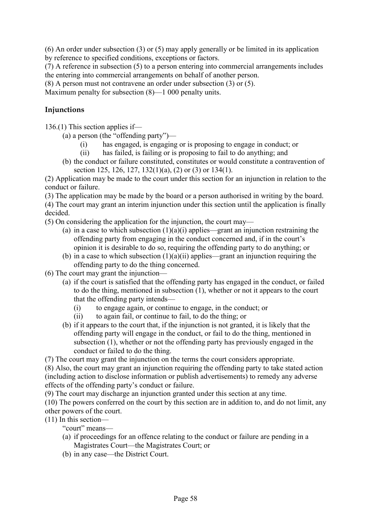(6) An order under subsection (3) or (5) may apply generally or be limited in its application by reference to specified conditions, exceptions or factors.

(7) A reference in subsection (5) to a person entering into commercial arrangements includes the entering into commercial arrangements on behalf of another person.

(8) A person must not contravene an order under subsection (3) or (5).

Maximum penalty for subsection  $(8)$ —1 000 penalty units.

#### **Injunctions**

136.(1) This section applies if—

(a) a person (the "offending party")—

- (i) has engaged, is engaging or is proposing to engage in conduct; or
- (ii) has failed, is failing or is proposing to fail to do anything; and
- (b) the conduct or failure constituted, constitutes or would constitute a contravention of section 125, 126, 127, 132(1)(a), (2) or (3) or 134(1).

(2) Application may be made to the court under this section for an injunction in relation to the conduct or failure.

(3) The application may be made by the board or a person authorised in writing by the board.

(4) The court may grant an interim injunction under this section until the application is finally decided.

(5) On considering the application for the injunction, the court may—

- (a) in a case to which subsection  $(1)(a)(i)$  applies—grant an injunction restraining the offending party from engaging in the conduct concerned and, if in the court's opinion it is desirable to do so, requiring the offending party to do anything; or
- (b) in a case to which subsection  $(1)(a)(ii)$  applies—grant an injunction requiring the offending party to do the thing concerned.

(6) The court may grant the injunction—

- (a) if the court is satisfied that the offending party has engaged in the conduct, or failed to do the thing, mentioned in subsection (1), whether or not it appears to the court that the offending party intends—
	- (i) to engage again, or continue to engage, in the conduct; or
	- (ii) to again fail, or continue to fail, to do the thing; or
- (b) if it appears to the court that, if the injunction is not granted, it is likely that the offending party will engage in the conduct, or fail to do the thing, mentioned in subsection (1), whether or not the offending party has previously engaged in the conduct or failed to do the thing.

(7) The court may grant the injunction on the terms the court considers appropriate.

(8) Also, the court may grant an injunction requiring the offending party to take stated action (including action to disclose information or publish advertisements) to remedy any adverse effects of the offending party's conduct or failure.

(9) The court may discharge an injunction granted under this section at any time.

(10) The powers conferred on the court by this section are in addition to, and do not limit, any other powers of the court.

(11) In this section—

"court" means—

- (a) if proceedings for an offence relating to the conduct or failure are pending in a Magistrates Court—the Magistrates Court; or
- (b) in any case—the District Court.